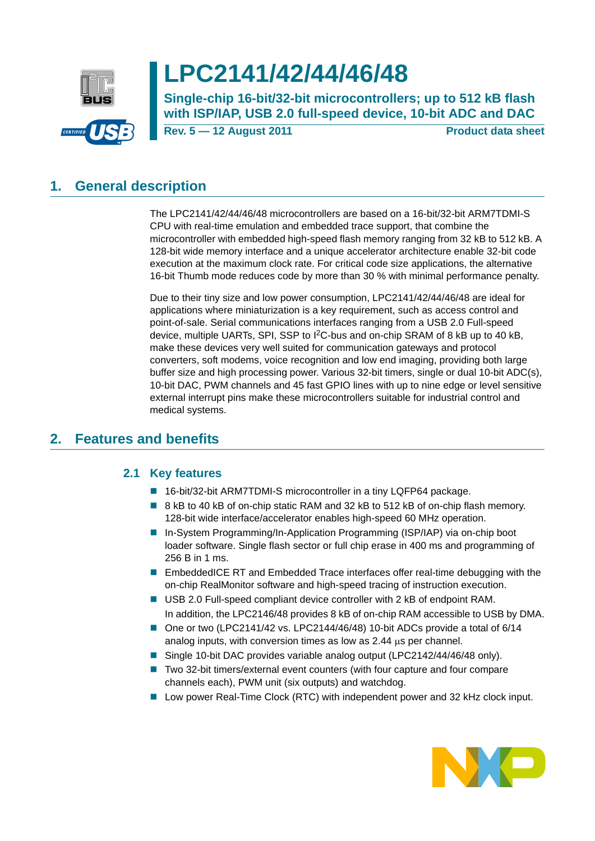

# **LPC2141/42/44/46/48**

**Single-chip 16-bit/32-bit microcontrollers; up to 512 kB flash with ISP/IAP, USB 2.0 full-speed device, 10-bit ADC and DAC**

**Rev. 5 — 12 August 2011 Product data sheet**

## <span id="page-0-0"></span>**1. General description**

The LPC2141/42/44/46/48 microcontrollers are based on a 16-bit/32-bit ARM7TDMI-S CPU with real-time emulation and embedded trace support, that combine the microcontroller with embedded high-speed flash memory ranging from 32 kB to 512 kB. A 128-bit wide memory interface and a unique accelerator architecture enable 32-bit code execution at the maximum clock rate. For critical code size applications, the alternative 16-bit Thumb mode reduces code by more than 30 % with minimal performance penalty.

Due to their tiny size and low power consumption, LPC2141/42/44/46/48 are ideal for applications where miniaturization is a key requirement, such as access control and point-of-sale. Serial communications interfaces ranging from a USB 2.0 Full-speed device, multiple UARTs, SPI, SSP to I<sup>2</sup>C-bus and on-chip SRAM of 8 kB up to 40 kB, make these devices very well suited for communication gateways and protocol converters, soft modems, voice recognition and low end imaging, providing both large buffer size and high processing power. Various 32-bit timers, single or dual 10-bit ADC(s), 10-bit DAC, PWM channels and 45 fast GPIO lines with up to nine edge or level sensitive external interrupt pins make these microcontrollers suitable for industrial control and medical systems.

## <span id="page-0-2"></span><span id="page-0-1"></span>**2. Features and benefits**

### **2.1 Key features**

- 16-bit/32-bit ARM7TDMI-S microcontroller in a tiny LQFP64 package.
- 8 kB to 40 kB of on-chip static RAM and 32 kB to 512 kB of on-chip flash memory. 128-bit wide interface/accelerator enables high-speed 60 MHz operation.
- In-System Programming/In-Application Programming (ISP/IAP) via on-chip boot loader software. Single flash sector or full chip erase in 400 ms and programming of 256 B in 1 ms.
- **EmbeddedICE RT and Embedded Trace interfaces offer real-time debugging with the** on-chip RealMonitor software and high-speed tracing of instruction execution.
- USB 2.0 Full-speed compliant device controller with 2 kB of endpoint RAM. In addition, the LPC2146/48 provides 8 kB of on-chip RAM accessible to USB by DMA.
- One or two (LPC2141/42 vs. LPC2144/46/48) 10-bit ADCs provide a total of 6/14 analog inputs, with conversion times as low as  $2.44 \mu s$  per channel.
- Single 10-bit DAC provides variable analog output (LPC2142/44/46/48 only).
- Two 32-bit timers/external event counters (with four capture and four compare channels each), PWM unit (six outputs) and watchdog.
- **Low power Real-Time Clock (RTC) with independent power and 32 kHz clock input.**

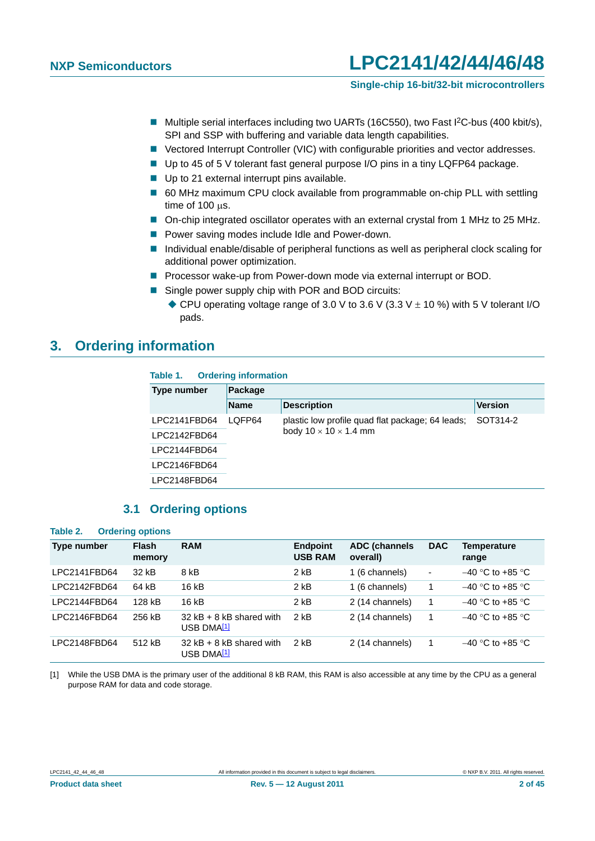#### **Single-chip 16-bit/32-bit microcontrollers**

- Multiple serial interfaces including two UARTs (16C550), two Fast I<sup>2</sup>C-bus (400 kbit/s), SPI and SSP with buffering and variable data length capabilities.
- Vectored Interrupt Controller (VIC) with configurable priorities and vector addresses.
- Up to 45 of 5 V tolerant fast general purpose I/O pins in a tiny LQFP64 package.
- Up to 21 external interrupt pins available.
- 60 MHz maximum CPU clock available from programmable on-chip PLL with settling time of  $100$   $\mu$ s.
- On-chip integrated oscillator operates with an external crystal from 1 MHz to 25 MHz.
- **P** Power saving modes include Idle and Power-down.
- Individual enable/disable of peripheral functions as well as peripheral clock scaling for additional power optimization.
- **Processor wake-up from Power-down mode via external interrupt or BOD.**
- Single power supply chip with POR and BOD circuits:
	- $\blacklozenge$  CPU operating voltage range of 3.0 V to 3.6 V (3.3 V  $\pm$  10 %) with 5 V tolerant I/O pads.

### <span id="page-1-1"></span>**3. Ordering information**

#### **Table 1. Ordering information**

| Type number  | Package     |                                                  |                |  |  |  |  |
|--------------|-------------|--------------------------------------------------|----------------|--|--|--|--|
|              | <b>Name</b> | <b>Description</b>                               | <b>Version</b> |  |  |  |  |
| LPC2141FBD64 | LOFP64      | plastic low profile quad flat package; 64 leads; | SOT314-2       |  |  |  |  |
| LPC2142FBD64 |             | body $10 \times 10 \times 1.4$ mm                |                |  |  |  |  |
| LPC2144FBD64 |             |                                                  |                |  |  |  |  |
| LPC2146FBD64 |             |                                                  |                |  |  |  |  |
| LPC2148FBD64 |             |                                                  |                |  |  |  |  |

#### **3.1 Ordering options**

<span id="page-1-2"></span>

| Table 2.           | <b>Ordering options</b> |                                                        |                                   |                                   |                          |                      |
|--------------------|-------------------------|--------------------------------------------------------|-----------------------------------|-----------------------------------|--------------------------|----------------------|
| <b>Type number</b> | <b>Flash</b><br>memory  | <b>RAM</b>                                             | <b>Endpoint</b><br><b>USB RAM</b> | <b>ADC (channels)</b><br>overall) | <b>DAC</b>               | Temperature<br>range |
| LPC2141FBD64       | 32 kB                   | 8 kB                                                   | $2$ kB                            | 1 (6 channels)                    | $\overline{\phantom{a}}$ | $-40$ °C to +85 °C   |
| LPC2142FBD64       | 64 kB                   | 16 kB                                                  | $2$ kB                            | 1 (6 channels)                    | 1                        | $-40$ °C to +85 °C   |
| LPC2144FBD64       | 128 kB                  | 16 kB                                                  | $2$ kB                            | 2 (14 channels)                   | 1                        | $-40$ °C to +85 °C   |
| LPC2146FBD64       | 256 kB                  | $32$ kB + 8 kB shared with<br>USB DMA <mark>[1]</mark> | $2$ kB                            | 2 (14 channels)                   | 1                        | $-40$ °C to +85 °C   |
| LPC2148FBD64       | 512 kB                  | $32$ kB + 8 kB shared with<br>USB DMA <mark>[1]</mark> | $2$ kB                            | 2 (14 channels)                   | 1                        | $-40$ °C to +85 °C   |

<span id="page-1-0"></span>[1] While the USB DMA is the primary user of the additional 8 kB RAM, this RAM is also accessible at any time by the CPU as a general purpose RAM for data and code storage.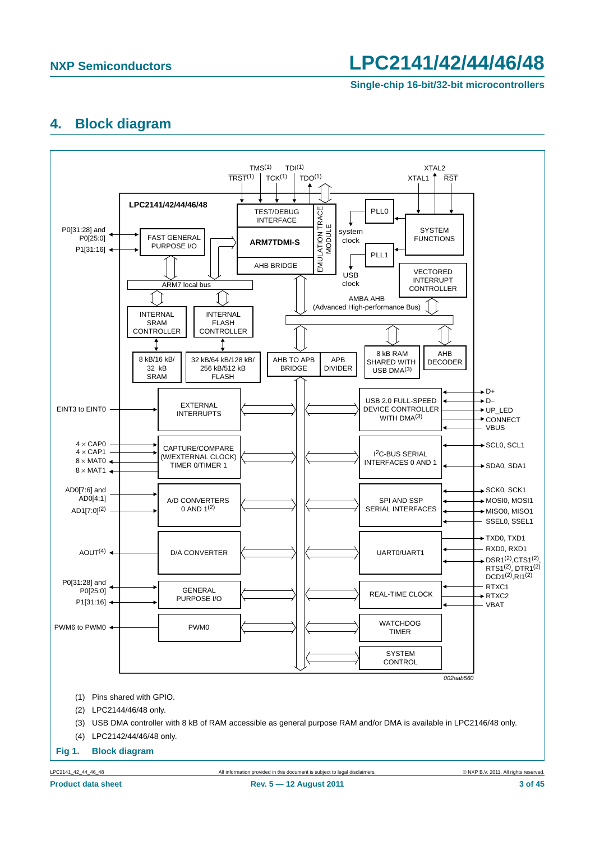**Single-chip 16-bit/32-bit microcontrollers**

### <span id="page-2-0"></span>**4. Block diagram**

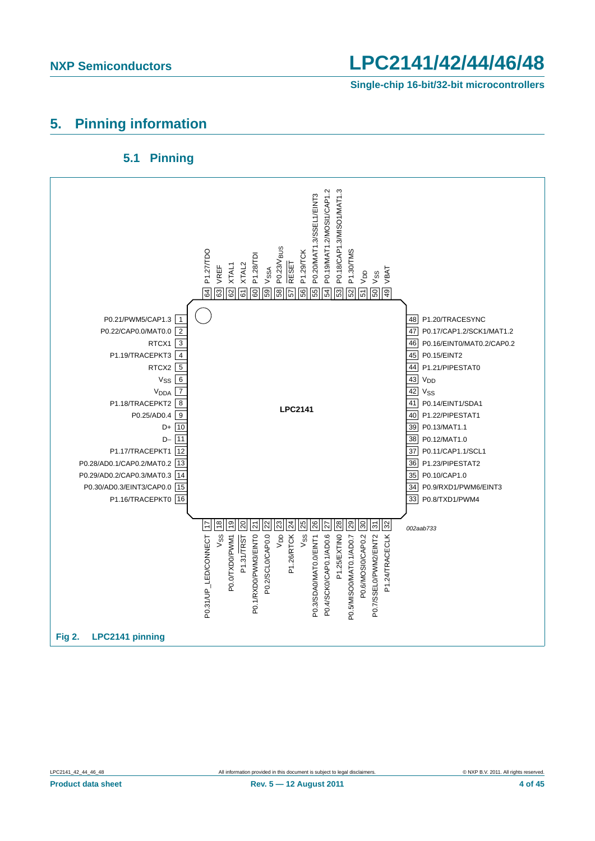**Single-chip 16-bit/32-bit microcontrollers**

### <span id="page-3-0"></span>**5. Pinning information**

### **5.1 Pinning**

<span id="page-3-1"></span>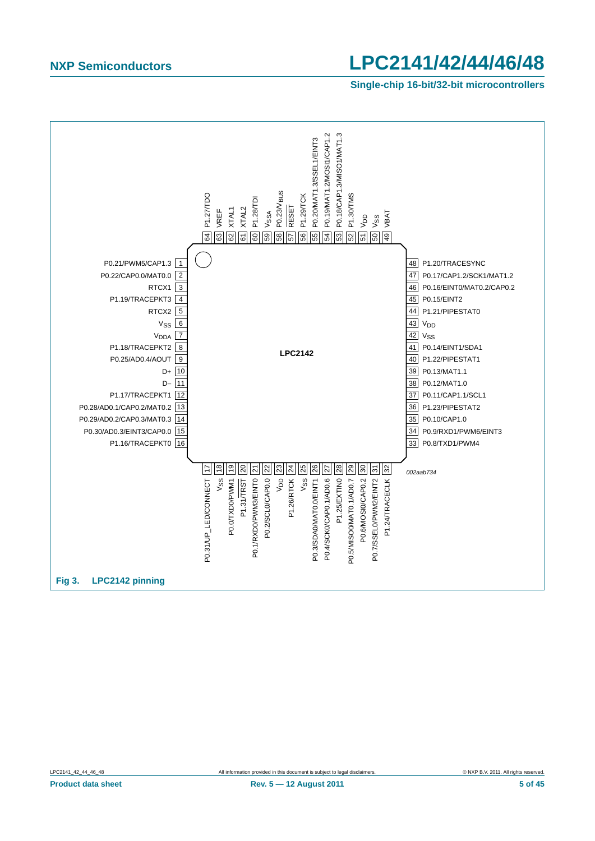**Single-chip 16-bit/32-bit microcontrollers**

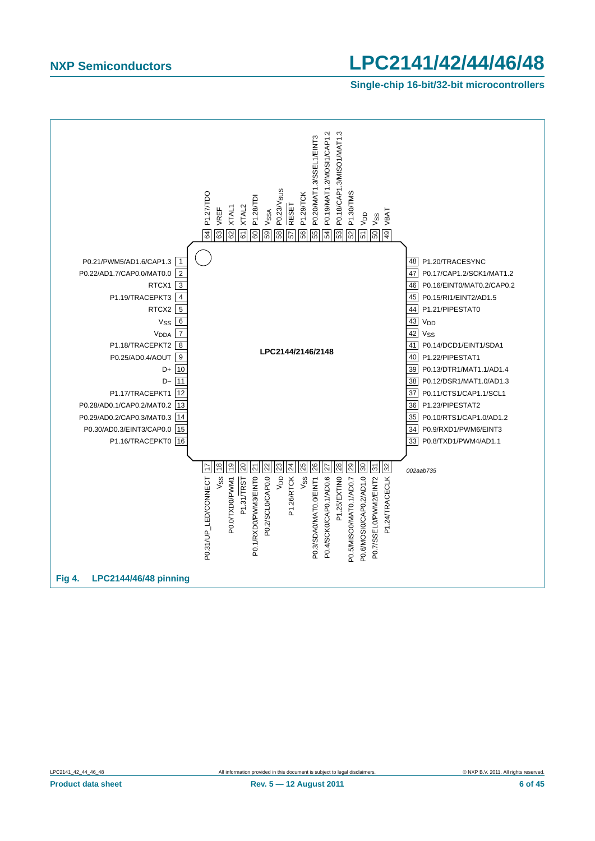**Single-chip 16-bit/32-bit microcontrollers**

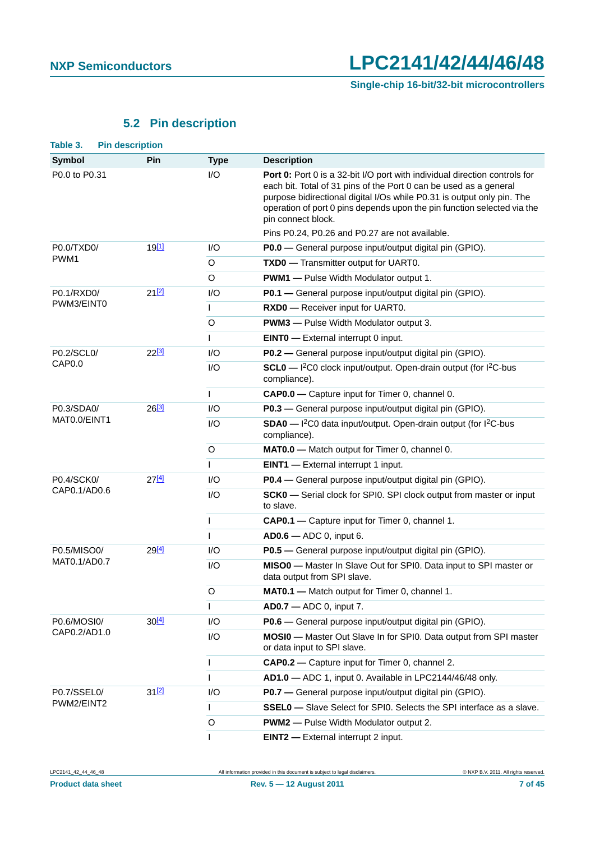**Single-chip 16-bit/32-bit microcontrollers**

## **5.2 Pin description**

<span id="page-6-1"></span><span id="page-6-0"></span>

| Table 3.           | <b>Pin description</b> |                   |              |                                                                                                                                                                                                                                                                                                                                   |  |  |  |  |
|--------------------|------------------------|-------------------|--------------|-----------------------------------------------------------------------------------------------------------------------------------------------------------------------------------------------------------------------------------------------------------------------------------------------------------------------------------|--|--|--|--|
| <b>Symbol</b>      |                        | Pin               | <b>Type</b>  | <b>Description</b>                                                                                                                                                                                                                                                                                                                |  |  |  |  |
| P0.0 to P0.31      |                        |                   | I/O          | <b>Port 0:</b> Port 0 is a 32-bit I/O port with individual direction controls for<br>each bit. Total of 31 pins of the Port 0 can be used as a general<br>purpose bidirectional digital I/Os while P0.31 is output only pin. The<br>operation of port 0 pins depends upon the pin function selected via the<br>pin connect block. |  |  |  |  |
|                    |                        |                   |              | Pins P0.24, P0.26 and P0.27 are not available.                                                                                                                                                                                                                                                                                    |  |  |  |  |
| P0.0/TXD0/<br>PWM1 |                        | 19 <sup>[1]</sup> | 1/O          | P0.0 - General purpose input/output digital pin (GPIO).                                                                                                                                                                                                                                                                           |  |  |  |  |
|                    |                        |                   | O            | TXD0 - Transmitter output for UART0.                                                                                                                                                                                                                                                                                              |  |  |  |  |
|                    |                        |                   | O            | <b>PWM1</b> - Pulse Width Modulator output 1.                                                                                                                                                                                                                                                                                     |  |  |  |  |
| P0.1/RXD0/         |                        | 21[2]             | I/O          | P0.1 - General purpose input/output digital pin (GPIO).                                                                                                                                                                                                                                                                           |  |  |  |  |
| PWM3/EINT0         |                        |                   | $\mathsf{I}$ | RXD0 - Receiver input for UART0.                                                                                                                                                                                                                                                                                                  |  |  |  |  |
|                    |                        |                   | O            | <b>PWM3</b> - Pulse Width Modulator output 3.                                                                                                                                                                                                                                                                                     |  |  |  |  |
|                    |                        |                   | $\mathbf{I}$ | <b>EINTO</b> - External interrupt 0 input.                                                                                                                                                                                                                                                                                        |  |  |  |  |
| P0.2/SCL0/         |                        | $22^{[3]}$        | 1/O          | P0.2 - General purpose input/output digital pin (GPIO).                                                                                                                                                                                                                                                                           |  |  |  |  |
| CAP0.0             |                        |                   | I/O          | SCL0 - I <sup>2</sup> C0 clock input/output. Open-drain output (for I <sup>2</sup> C-bus<br>compliance).                                                                                                                                                                                                                          |  |  |  |  |
|                    |                        |                   | $\mathsf{I}$ | CAP0.0 - Capture input for Timer 0, channel 0.                                                                                                                                                                                                                                                                                    |  |  |  |  |
| P0.3/SDA0/         |                        | $26^{[3]}$        | 1/O          | P0.3 - General purpose input/output digital pin (GPIO).                                                                                                                                                                                                                                                                           |  |  |  |  |
| MAT0.0/EINT1       |                        |                   | 1/O          | SDA0 - I <sup>2</sup> C0 data input/output. Open-drain output (for I <sup>2</sup> C-bus<br>compliance).                                                                                                                                                                                                                           |  |  |  |  |
|                    |                        |                   | O            | MATO.0 - Match output for Timer 0, channel 0.                                                                                                                                                                                                                                                                                     |  |  |  |  |
|                    |                        |                   | $\mathsf{I}$ | <b>EINT1</b> - External interrupt 1 input.                                                                                                                                                                                                                                                                                        |  |  |  |  |
| P0.4/SCK0/         |                        | $27^{[4]}$        | I/O          | P0.4 - General purpose input/output digital pin (GPIO).                                                                                                                                                                                                                                                                           |  |  |  |  |
| CAP0.1/AD0.6       |                        |                   | I/O          | SCK0 - Serial clock for SPI0. SPI clock output from master or input<br>to slave.                                                                                                                                                                                                                                                  |  |  |  |  |
|                    |                        |                   | $\mathsf{I}$ | <b>CAP0.1</b> - Capture input for Timer 0, channel 1.                                                                                                                                                                                                                                                                             |  |  |  |  |
|                    |                        |                   | $\mathbf{I}$ | $AD0.6 - ADC 0$ , input 6.                                                                                                                                                                                                                                                                                                        |  |  |  |  |
| P0.5/MISO0/        |                        | 29[4]             | 1/O          | P0.5 - General purpose input/output digital pin (GPIO).                                                                                                                                                                                                                                                                           |  |  |  |  |
| MAT0.1/AD0.7       |                        |                   | I/O          | MISO0 - Master In Slave Out for SPI0. Data input to SPI master or<br>data output from SPI slave.                                                                                                                                                                                                                                  |  |  |  |  |
|                    |                        |                   | O            | MAT0.1 - Match output for Timer 0, channel 1.                                                                                                                                                                                                                                                                                     |  |  |  |  |
|                    |                        |                   | $\mathbf{I}$ | <b>AD0.7</b> - ADC 0, input 7.                                                                                                                                                                                                                                                                                                    |  |  |  |  |
| P0.6/MOSI0/        |                        | $30^{[4]}$        | I/O          | P0.6 - General purpose input/output digital pin (GPIO).                                                                                                                                                                                                                                                                           |  |  |  |  |
| CAP0.2/AD1.0       |                        |                   | I/O          | MOSI0 - Master Out Slave In for SPI0. Data output from SPI master<br>or data input to SPI slave.                                                                                                                                                                                                                                  |  |  |  |  |
|                    |                        |                   | I            | CAP0.2 - Capture input for Timer 0, channel 2.                                                                                                                                                                                                                                                                                    |  |  |  |  |
|                    |                        |                   | $\mathbf{I}$ | AD1.0 - ADC 1, input 0. Available in LPC2144/46/48 only.                                                                                                                                                                                                                                                                          |  |  |  |  |
| P0.7/SSEL0/        |                        | 312               | I/O          | P0.7 - General purpose input/output digital pin (GPIO).                                                                                                                                                                                                                                                                           |  |  |  |  |
| PWM2/EINT2         |                        |                   | $\mathbf{I}$ | <b>SSEL0</b> - Slave Select for SPI0. Selects the SPI interface as a slave.                                                                                                                                                                                                                                                       |  |  |  |  |
|                    |                        |                   | $\circ$      | <b>PWM2</b> - Pulse Width Modulator output 2.                                                                                                                                                                                                                                                                                     |  |  |  |  |
|                    |                        |                   | $\mathsf{I}$ | <b>EINT2</b> - External interrupt 2 input.                                                                                                                                                                                                                                                                                        |  |  |  |  |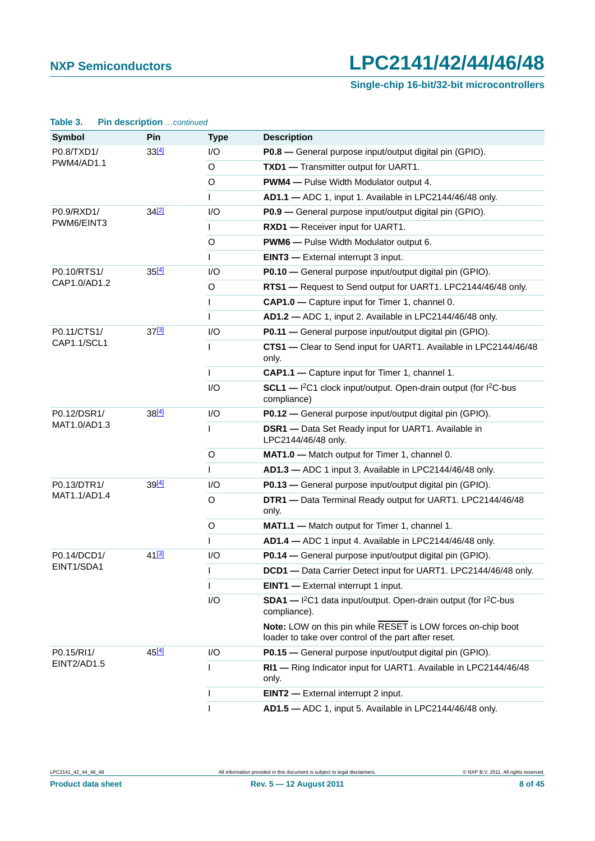### **Single-chip 16-bit/32-bit microcontrollers**

| Table 3.          | Pin description continued |              |                                                                                                                      |
|-------------------|---------------------------|--------------|----------------------------------------------------------------------------------------------------------------------|
| <b>Symbol</b>     | Pin                       | <b>Type</b>  | <b>Description</b>                                                                                                   |
| P0.8/TXD1/        | 33[4]                     | 1/O          | P0.8 - General purpose input/output digital pin (GPIO).                                                              |
| <b>PWM4/AD1.1</b> |                           | O            | TXD1 - Transmitter output for UART1.                                                                                 |
|                   |                           | O            | <b>PWM4</b> - Pulse Width Modulator output 4.                                                                        |
|                   |                           | L            | AD1.1 - ADC 1, input 1. Available in LPC2144/46/48 only.                                                             |
| P0.9/RXD1/        | 34[2]                     | I/O          | P0.9 - General purpose input/output digital pin (GPIO).                                                              |
| PWM6/EINT3        |                           | $\mathsf{I}$ | RXD1 - Receiver input for UART1.                                                                                     |
|                   |                           | O            | <b>PWM6</b> - Pulse Width Modulator output 6.                                                                        |
|                   |                           | $\mathsf{I}$ | <b>EINT3</b> - External interrupt 3 input.                                                                           |
| P0.10/RTS1/       | 35[4]                     | I/O          | P0.10 - General purpose input/output digital pin (GPIO).                                                             |
| CAP1.0/AD1.2      |                           | O            | RTS1 - Request to Send output for UART1. LPC2144/46/48 only.                                                         |
|                   |                           | $\mathbf{I}$ | CAP1.0 - Capture input for Timer 1, channel 0.                                                                       |
|                   |                           | $\mathbf{I}$ | AD1.2 - ADC 1, input 2. Available in LPC2144/46/48 only.                                                             |
| P0.11/CTS1/       | 37 <sup>[3]</sup>         | I/O          | P0.11 - General purpose input/output digital pin (GPIO).                                                             |
| CAP1.1/SCL1       |                           | $\mathbf{I}$ | CTS1 - Clear to Send input for UART1. Available in LPC2144/46/48<br>only.                                            |
|                   |                           | $\mathbf{I}$ | CAP1.1 - Capture input for Timer 1, channel 1.                                                                       |
|                   |                           | I/O          | $SCL1$ - $I^2C1$ clock input/output. Open-drain output (for $I^2C$ -bus<br>compliance)                               |
| P0.12/DSR1/       | $38^{[4]}$                | I/O          | P0.12 - General purpose input/output digital pin (GPIO).                                                             |
| MAT1.0/AD1.3      |                           | $\mathsf{I}$ | <b>DSR1</b> - Data Set Ready input for UART1. Available in<br>LPC2144/46/48 only.                                    |
|                   |                           | O            | MAT1.0 - Match output for Timer 1, channel 0.                                                                        |
|                   |                           | $\mathbf{I}$ | AD1.3 - ADC 1 input 3. Available in LPC2144/46/48 only.                                                              |
| P0.13/DTR1/       | 39[4]                     | 1/O          | P0.13 - General purpose input/output digital pin (GPIO).                                                             |
| MAT1.1/AD1.4      |                           | O            | DTR1 - Data Terminal Ready output for UART1. LPC2144/46/48<br>only.                                                  |
|                   |                           | O            | MAT1.1 - Match output for Timer 1, channel 1.                                                                        |
|                   |                           | $\mathsf{I}$ | AD1.4 - ADC 1 input 4. Available in LPC2144/46/48 only.                                                              |
| P0.14/DCD1/       | 41 <sup>[3]</sup>         | I/O          | P0.14 – General purpose input/output digital pin (GPIO).                                                             |
| EINT1/SDA1        |                           | $\mathsf{l}$ | DCD1 - Data Carrier Detect input for UART1. LPC2144/46/48 only.                                                      |
|                   |                           | $\mathsf{I}$ | <b>EINT1</b> - External interrupt 1 input.                                                                           |
|                   |                           | I/O          | SDA1 - I <sup>2</sup> C1 data input/output. Open-drain output (for I <sup>2</sup> C-bus<br>compliance).              |
|                   |                           |              | Note: LOW on this pin while RESET is LOW forces on-chip boot<br>loader to take over control of the part after reset. |
| P0.15/RI1/        | 45 <sup>[4]</sup>         | I/O          | P0.15 - General purpose input/output digital pin (GPIO).                                                             |
| EINT2/AD1.5       |                           | L            | RI1 - Ring Indicator input for UART1. Available in LPC2144/46/48<br>only.                                            |
|                   |                           | $\mathbf{I}$ | <b>EINT2</b> - External interrupt 2 input.                                                                           |
|                   |                           | $\mathsf{I}$ | AD1.5 - ADC 1, input 5. Available in LPC2144/46/48 only.                                                             |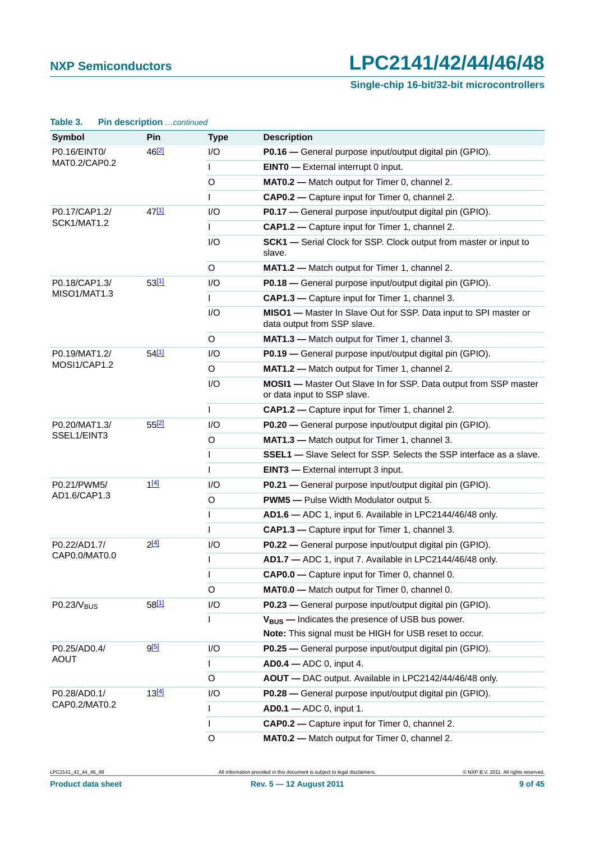### **Single-chip 16-bit/32-bit microcontrollers**

| Table 3.               | Pin description continued |              |                                                                                                        |
|------------------------|---------------------------|--------------|--------------------------------------------------------------------------------------------------------|
| <b>Symbol</b>          | Pin                       | <b>Type</b>  | <b>Description</b>                                                                                     |
| P0.16/EINT0/           | 46 <sup>[2]</sup>         | 1/O          | P0.16 - General purpose input/output digital pin (GPIO).                                               |
| MAT0.2/CAP0.2          |                           | $\mathsf{I}$ | <b>EINTO</b> - External interrupt 0 input.                                                             |
|                        |                           | O            | MATO.2 - Match output for Timer 0, channel 2.                                                          |
|                        |                           | $\mathsf{L}$ | <b>CAP0.2</b> - Capture input for Timer 0, channel 2.                                                  |
| P0.17/CAP1.2/          | 47[1]                     | I/O          | P0.17 - General purpose input/output digital pin (GPIO).                                               |
| SCK1/MAT1.2            |                           | $\mathsf{I}$ | CAP1.2 - Capture input for Timer 1, channel 2.                                                         |
|                        |                           | I/O          | <b>SCK1</b> - Serial Clock for SSP. Clock output from master or input to<br>slave.                     |
|                        |                           | O            | MAT1.2 - Match output for Timer 1, channel 2.                                                          |
| P0.18/CAP1.3/          | 53[1]                     | 1/O          | P0.18 - General purpose input/output digital pin (GPIO).                                               |
| MISO1/MAT1.3           |                           | $\mathsf{I}$ | CAP1.3 - Capture input for Timer 1, channel 3.                                                         |
|                        |                           | I/O          | MISO1 - Master In Slave Out for SSP. Data input to SPI master or<br>data output from SSP slave.        |
|                        |                           | O            | MAT1.3 - Match output for Timer 1, channel 3.                                                          |
| P0.19/MAT1.2/          | $54^{[1]}$                | I/O          | P0.19 - General purpose input/output digital pin (GPIO).                                               |
| MOSI1/CAP1.2           |                           | $\circ$      | MAT1.2 - Match output for Timer 1, channel 2.                                                          |
|                        |                           | I/O          | <b>MOSI1</b> - Master Out Slave In for SSP. Data output from SSP master<br>or data input to SSP slave. |
|                        |                           | $\mathsf{I}$ | CAP1.2 - Capture input for Timer 1, channel 2.                                                         |
| P0.20/MAT1.3/          | 552                       | 1/O          | P0.20 - General purpose input/output digital pin (GPIO).                                               |
| SSEL1/EINT3            |                           | O            | MAT1.3 - Match output for Timer 1, channel 3.                                                          |
|                        |                           | $\mathsf{I}$ | <b>SSEL1</b> - Slave Select for SSP. Selects the SSP interface as a slave.                             |
|                        |                           | $\mathsf{I}$ | <b>EINT3</b> - External interrupt 3 input.                                                             |
| P0.21/PWM5/            | 1[4]                      | I/O          | P0.21 - General purpose input/output digital pin (GPIO).                                               |
| AD1.6/CAP1.3           |                           | O            | <b>PWM5</b> - Pulse Width Modulator output 5.                                                          |
|                        |                           | $\mathsf{I}$ | AD1.6 - ADC 1, input 6. Available in LPC2144/46/48 only.                                               |
|                        |                           | $\mathsf{I}$ | CAP1.3 - Capture input for Timer 1, channel 3.                                                         |
| P0.22/AD1.7/           | $2^{[4]}$                 | I/O          | P0.22 - General purpose input/output digital pin (GPIO).                                               |
| CAP0.0/MAT0.0          |                           | $\mathsf{L}$ | AD1.7 - ADC 1, input 7. Available in LPC2144/46/48 only.                                               |
|                        |                           | $\mathsf{I}$ | <b>CAP0.0</b> - Capture input for Timer 0, channel 0.                                                  |
|                        |                           | O            | MATO.0 - Match output for Timer 0, channel 0.                                                          |
| P0.23/V <sub>RUS</sub> | 58[1]                     | I/O          | P0.23 - General purpose input/output digital pin (GPIO).                                               |
|                        |                           | $\mathsf{I}$ | $V_{RIS}$ – Indicates the presence of USB bus power.                                                   |
|                        |                           |              | Note: This signal must be HIGH for USB reset to occur.                                                 |
| P0.25/AD0.4/           | <u>g[5]</u>               | I/O          | P0.25 - General purpose input/output digital pin (GPIO).                                               |
| <b>AOUT</b>            |                           | $\mathsf{I}$ | <b>AD0.4</b> - ADC 0, input 4.                                                                         |
|                        |                           | O            | AOUT - DAC output. Available in LPC2142/44/46/48 only.                                                 |
| P0.28/AD0.1/           | 13[4]                     | I/O          | P0.28 - General purpose input/output digital pin (GPIO).                                               |
| CAP0.2/MAT0.2          |                           | $\mathsf{I}$ | <b>AD0.1</b> - ADC 0, input 1.                                                                         |
|                        |                           | $\mathsf{I}$ | CAP0.2 - Capture input for Timer 0, channel 2.                                                         |
|                        |                           | O            | MATO.2 - Match output for Timer 0, channel 2.                                                          |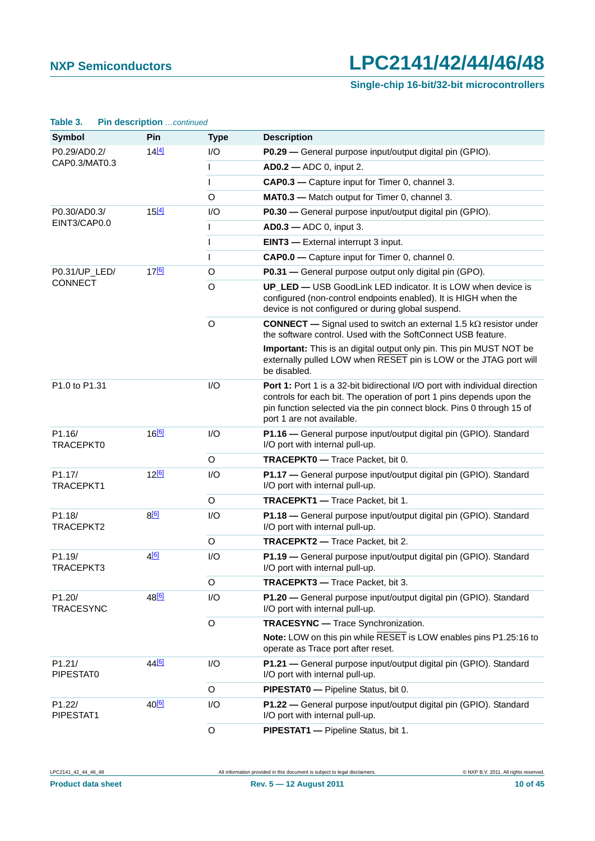### **Single-chip 16-bit/32-bit microcontrollers**

| rable 5.                              |     | <b>PIN GESCRIPTION</b> CONTINUED |                                                                                                                                                                                        |                                                                                                                                                                                                                                                           |
|---------------------------------------|-----|----------------------------------|----------------------------------------------------------------------------------------------------------------------------------------------------------------------------------------|-----------------------------------------------------------------------------------------------------------------------------------------------------------------------------------------------------------------------------------------------------------|
| <b>Symbol</b>                         |     | Pin                              | <b>Type</b>                                                                                                                                                                            | <b>Description</b>                                                                                                                                                                                                                                        |
| P0.29/AD0.2/                          |     | $14^{[4]}$                       | I/O                                                                                                                                                                                    | P0.29 - General purpose input/output digital pin (GPIO).                                                                                                                                                                                                  |
| CAP0.3/MAT0.3                         |     |                                  | $\mathsf{I}$                                                                                                                                                                           | <b>AD0.2</b> - ADC 0, input 2.                                                                                                                                                                                                                            |
|                                       |     |                                  | $\mathsf{I}$                                                                                                                                                                           | CAP0.3 - Capture input for Timer 0, channel 3.                                                                                                                                                                                                            |
|                                       |     |                                  | O                                                                                                                                                                                      | MAT0.3 - Match output for Timer 0, channel 3.                                                                                                                                                                                                             |
| P0.30/AD0.3/                          |     | 15[4]                            | I/O                                                                                                                                                                                    | P0.30 - General purpose input/output digital pin (GPIO).                                                                                                                                                                                                  |
| EINT3/CAP0.0                          |     |                                  | $\mathsf{I}$                                                                                                                                                                           | <b>AD0.3</b> - ADC 0, input 3.                                                                                                                                                                                                                            |
|                                       |     |                                  | $\mathsf{I}$                                                                                                                                                                           | <b>EINT3</b> - External interrupt 3 input.                                                                                                                                                                                                                |
|                                       |     |                                  | $\mathsf{I}$                                                                                                                                                                           | <b>CAP0.0</b> - Capture input for Timer 0, channel 0.                                                                                                                                                                                                     |
| P0.31/UP_LED/<br><b>CONNECT</b>       | 176 | $\circ$                          | P0.31 - General purpose output only digital pin (GPO).                                                                                                                                 |                                                                                                                                                                                                                                                           |
|                                       |     | O                                | UP_LED - USB GoodLink LED indicator. It is LOW when device is<br>configured (non-control endpoints enabled). It is HIGH when the<br>device is not configured or during global suspend. |                                                                                                                                                                                                                                                           |
|                                       |     |                                  | $\circ$                                                                                                                                                                                | <b>CONNECT</b> — Signal used to switch an external 1.5 $k\Omega$ resistor under<br>the software control. Used with the SoftConnect USB feature.                                                                                                           |
|                                       |     |                                  |                                                                                                                                                                                        | Important: This is an digital output only pin. This pin MUST NOT be<br>externally pulled LOW when RESET pin is LOW or the JTAG port will<br>be disabled.                                                                                                  |
| P <sub>1.0</sub> to P <sub>1.31</sub> |     |                                  | I/O                                                                                                                                                                                    | Port 1: Port 1 is a 32-bit bidirectional I/O port with individual direction<br>controls for each bit. The operation of port 1 pins depends upon the<br>pin function selected via the pin connect block. Pins 0 through 15 of<br>port 1 are not available. |
| P <sub>1.16</sub> /<br>TRACEPKT0      |     | 16 <sup>[6]</sup>                | I/O                                                                                                                                                                                    | P1.16 - General purpose input/output digital pin (GPIO). Standard<br>I/O port with internal pull-up.                                                                                                                                                      |
|                                       |     |                                  | O                                                                                                                                                                                      | TRACEPKT0 - Trace Packet, bit 0.                                                                                                                                                                                                                          |
| P1.17/<br>TRACEPKT1                   |     | 12 <sup>[6]</sup>                | I/O                                                                                                                                                                                    | P1.17 - General purpose input/output digital pin (GPIO). Standard<br>I/O port with internal pull-up.                                                                                                                                                      |
|                                       |     |                                  | O                                                                                                                                                                                      | TRACEPKT1 - Trace Packet, bit 1.                                                                                                                                                                                                                          |
| P1.18/<br>TRACEPKT2                   |     | $8^{[6]}$                        | I/O                                                                                                                                                                                    | P1.18 - General purpose input/output digital pin (GPIO). Standard<br>I/O port with internal pull-up.                                                                                                                                                      |
|                                       |     |                                  | $\circ$                                                                                                                                                                                | <b>TRACEPKT2</b> - Trace Packet, bit 2.                                                                                                                                                                                                                   |
| P1.19/<br>TRACEPKT3                   |     | 4[6]                             | P1.19 - General purpose input/output digital pin (GPIO). Standard<br>I/O port with internal pull-up.                                                                                   |                                                                                                                                                                                                                                                           |
|                                       |     |                                  | O                                                                                                                                                                                      | TRACEPKT3 - Trace Packet, bit 3.                                                                                                                                                                                                                          |
| P1.20/<br><b>TRACESYNC</b>            |     | 48 <sup>[6]</sup>                | I/O                                                                                                                                                                                    | P1.20 - General purpose input/output digital pin (GPIO). Standard<br>I/O port with internal pull-up.                                                                                                                                                      |
|                                       |     |                                  | $\circ$                                                                                                                                                                                | <b>TRACESYNC</b> - Trace Synchronization.                                                                                                                                                                                                                 |
|                                       |     |                                  |                                                                                                                                                                                        | Note: LOW on this pin while RESET is LOW enables pins P1.25:16 to<br>operate as Trace port after reset.                                                                                                                                                   |
| P1.21/<br>PIPESTAT0                   |     | 44 <sup>[6]</sup>                | I/O                                                                                                                                                                                    | P1.21 - General purpose input/output digital pin (GPIO). Standard<br>I/O port with internal pull-up.                                                                                                                                                      |
|                                       |     |                                  | O                                                                                                                                                                                      | PIPESTATO - Pipeline Status, bit 0.                                                                                                                                                                                                                       |
| P1.22/<br>PIPESTAT1                   |     | 40 <sup>[6]</sup>                | I/O                                                                                                                                                                                    | P1.22 - General purpose input/output digital pin (GPIO). Standard<br>I/O port with internal pull-up.                                                                                                                                                      |
|                                       |     |                                  | $\circ$                                                                                                                                                                                | PIPESTAT1 - Pipeline Status, bit 1.                                                                                                                                                                                                                       |

**Table 3. Pin description** *…continued*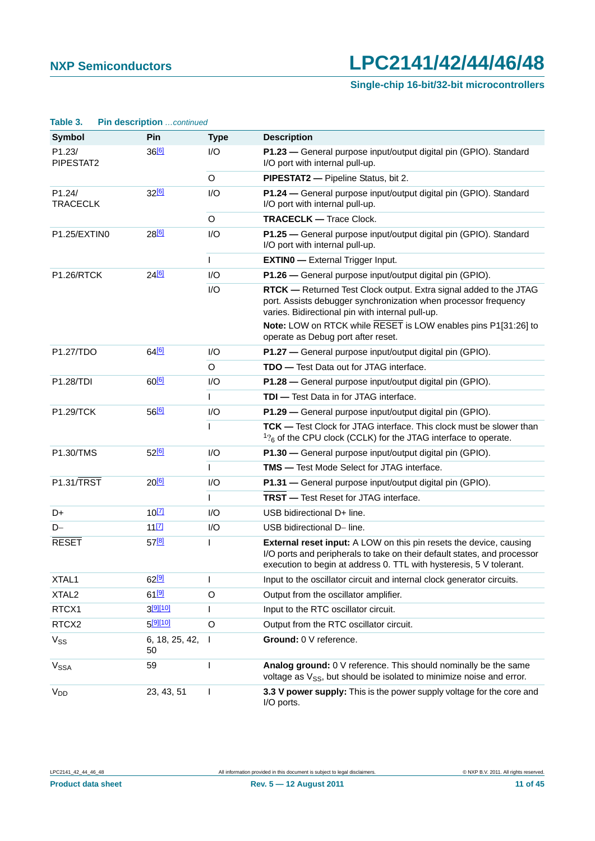## **Single-chip 16-bit/32-bit microcontrollers**

| Table 3.                  | <b>Pin description</b> continued |              |                                                                                                                                                                                                                              |
|---------------------------|----------------------------------|--------------|------------------------------------------------------------------------------------------------------------------------------------------------------------------------------------------------------------------------------|
| <b>Symbol</b>             | Pin                              | <b>Type</b>  | <b>Description</b>                                                                                                                                                                                                           |
| P1.23/<br>PIPESTAT2       | 36[6]                            | I/O          | P1.23 - General purpose input/output digital pin (GPIO). Standard<br>I/O port with internal pull-up.                                                                                                                         |
|                           |                                  | O            | PIPESTAT2 - Pipeline Status, bit 2.                                                                                                                                                                                          |
| P1.24/<br><b>TRACECLK</b> | 32[6]                            | I/O          | P1.24 - General purpose input/output digital pin (GPIO). Standard<br>I/O port with internal pull-up.                                                                                                                         |
|                           |                                  | O            | <b>TRACECLK - Trace Clock.</b>                                                                                                                                                                                               |
| P1.25/EXTINO              | 28[6]                            | I/O          | P1.25 - General purpose input/output digital pin (GPIO). Standard<br>I/O port with internal pull-up.                                                                                                                         |
|                           |                                  | $\mathsf{I}$ | <b>EXTINO</b> - External Trigger Input.                                                                                                                                                                                      |
| <b>P1.26/RTCK</b>         | 24[6]                            | 1/O          | P1.26 - General purpose input/output digital pin (GPIO).                                                                                                                                                                     |
|                           |                                  | I/O          | RTCK - Returned Test Clock output. Extra signal added to the JTAG<br>port. Assists debugger synchronization when processor frequency<br>varies. Bidirectional pin with internal pull-up.                                     |
|                           |                                  |              | Note: LOW on RTCK while RESET is LOW enables pins P1[31:26] to<br>operate as Debug port after reset.                                                                                                                         |
| P1.27/TDO                 | 64 <sup>[6]</sup>                | 1/O          | P1.27 - General purpose input/output digital pin (GPIO).                                                                                                                                                                     |
|                           |                                  | O            | <b>TDO</b> - Test Data out for JTAG interface.                                                                                                                                                                               |
| P1.28/TDI                 | 60 <sup>[6]</sup>                | 1/O          | P1.28 - General purpose input/output digital pin (GPIO).                                                                                                                                                                     |
|                           |                                  | $\mathbf{I}$ | <b>TDI</b> - Test Data in for JTAG interface.                                                                                                                                                                                |
| P1.29/TCK                 | 56[6]                            | I/O          | P1.29 - General purpose input/output digital pin (GPIO).                                                                                                                                                                     |
|                           |                                  | $\mathsf{I}$ | TCK - Test Clock for JTAG interface. This clock must be slower than<br>$1$ <sup>2</sup> <sub>6</sub> of the CPU clock (CCLK) for the JTAG interface to operate.                                                              |
| P1.30/TMS                 | 52 <sup>[6]</sup>                | I/O          | P1.30 - General purpose input/output digital pin (GPIO).                                                                                                                                                                     |
|                           |                                  | $\mathbf{I}$ | <b>TMS</b> - Test Mode Select for JTAG interface.                                                                                                                                                                            |
| <b>P1.31/TRST</b>         | $20^{6}$                         | I/O          | P1.31 - General purpose input/output digital pin (GPIO).                                                                                                                                                                     |
|                           |                                  | $\mathsf{I}$ | <b>TRST</b> - Test Reset for JTAG interface.                                                                                                                                                                                 |
| D+                        | $10^{[7]}$                       | I/O          | USB bidirectional D+ line.                                                                                                                                                                                                   |
| $D-$                      | $11$ [7]                         | I/O          | USB bidirectional D- line.                                                                                                                                                                                                   |
| <b>RESET</b>              | 57[8]                            |              | <b>External reset input:</b> A LOW on this pin resets the device, causing<br>I/O ports and peripherals to take on their default states, and processor<br>execution to begin at address 0. TTL with hysteresis, 5 V tolerant. |
| XTAL1                     | $62^{[9]}$                       | $\mathsf{I}$ | Input to the oscillator circuit and internal clock generator circuits.                                                                                                                                                       |
| XTAL <sub>2</sub>         | $61^{[9]}$                       | $\circ$      | Output from the oscillator amplifier.                                                                                                                                                                                        |
| RTCX1                     | $3^{[9][10]}$                    | $\mathsf{I}$ | Input to the RTC oscillator circuit.                                                                                                                                                                                         |
| RTCX2                     | 5[9][10]                         | $\circ$      | Output from the RTC oscillator circuit.                                                                                                                                                                                      |
| $V_{SS}$                  | 6, 18, 25, 42,<br>50             | $\mathbf{I}$ | Ground: 0 V reference.                                                                                                                                                                                                       |
| V <sub>SSA</sub>          | 59                               | ı            | Analog ground: 0 V reference. This should nominally be the same<br>voltage as $V_{SS}$ , but should be isolated to minimize noise and error.                                                                                 |
| $V_{DD}$                  | 23, 43, 51                       |              | 3.3 V power supply: This is the power supply voltage for the core and<br>I/O ports.                                                                                                                                          |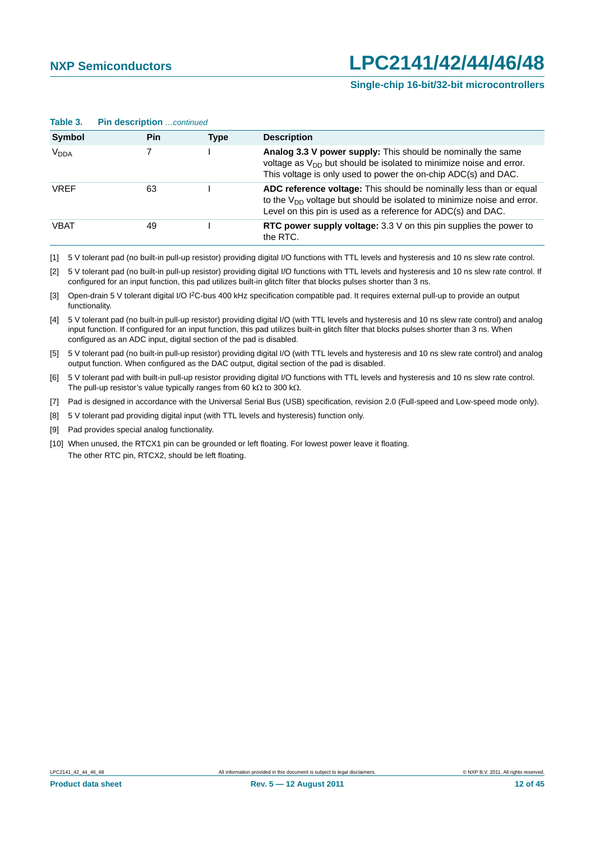#### **Single-chip 16-bit/32-bit microcontrollers**

| Table 3.         | <b>PIN GESCHDUON</b> CONTINUED |      |                                                                                                                                                                                                                   |
|------------------|--------------------------------|------|-------------------------------------------------------------------------------------------------------------------------------------------------------------------------------------------------------------------|
| Symbol           | Pin                            | Type | <b>Description</b>                                                                                                                                                                                                |
| V <sub>DDA</sub> |                                |      | Analog 3.3 V power supply: This should be nominally the same<br>voltage as V <sub>DD</sub> but should be isolated to minimize noise and error.<br>This voltage is only used to power the on-chip ADC(s) and DAC.  |
| <b>VRFF</b>      | 63                             |      | ADC reference voltage: This should be nominally less than or equal<br>to the $V_{DD}$ voltage but should be isolated to minimize noise and error.<br>Level on this pin is used as a reference for ADC(s) and DAC. |
| <b>VBAT</b>      | 49                             |      | RTC power supply voltage: $3.3 \vee$ on this pin supplies the power to<br>the RTC.                                                                                                                                |

**Table 3. Pin description** *…continued*

<span id="page-11-0"></span>[1] 5 V tolerant pad (no built-in pull-up resistor) providing digital I/O functions with TTL levels and hysteresis and 10 ns slew rate control.

<span id="page-11-1"></span>[2] 5 V tolerant pad (no built-in pull-up resistor) providing digital I/O functions with TTL levels and hysteresis and 10 ns slew rate control. If configured for an input function, this pad utilizes built-in glitch filter that blocks pulses shorter than 3 ns.

<span id="page-11-2"></span>[3] Open-drain 5 V tolerant digital I/O I2C-bus 400 kHz specification compatible pad. It requires external pull-up to provide an output functionality.

<span id="page-11-3"></span>[4] 5 V tolerant pad (no built-in pull-up resistor) providing digital I/O (with TTL levels and hysteresis and 10 ns slew rate control) and analog input function. If configured for an input function, this pad utilizes built-in glitch filter that blocks pulses shorter than 3 ns. When configured as an ADC input, digital section of the pad is disabled.

<span id="page-11-4"></span>[5] 5 V tolerant pad (no built-in pull-up resistor) providing digital I/O (with TTL levels and hysteresis and 10 ns slew rate control) and analog output function. When configured as the DAC output, digital section of the pad is disabled.

<span id="page-11-5"></span>[6] 5 V tolerant pad with built-in pull-up resistor providing digital I/O functions with TTL levels and hysteresis and 10 ns slew rate control. The pull-up resistor's value typically ranges from 60 k $\Omega$  to 300 k $\Omega$ .

<span id="page-11-6"></span>[7] Pad is designed in accordance with the Universal Serial Bus (USB) specification, revision 2.0 (Full-speed and Low-speed mode only).

<span id="page-11-7"></span>[8] 5 V tolerant pad providing digital input (with TTL levels and hysteresis) function only.

<span id="page-11-8"></span>[9] Pad provides special analog functionality.

<span id="page-11-9"></span>[10] When unused, the RTCX1 pin can be grounded or left floating. For lowest power leave it floating. The other RTC pin, RTCX2, should be left floating.

LPC2141 42 44 46 48 All information provided in this document is subject to legal disclaimers. 
Example 2141 42 44 46 48 CNAP B.V. 2011. All rights reserved.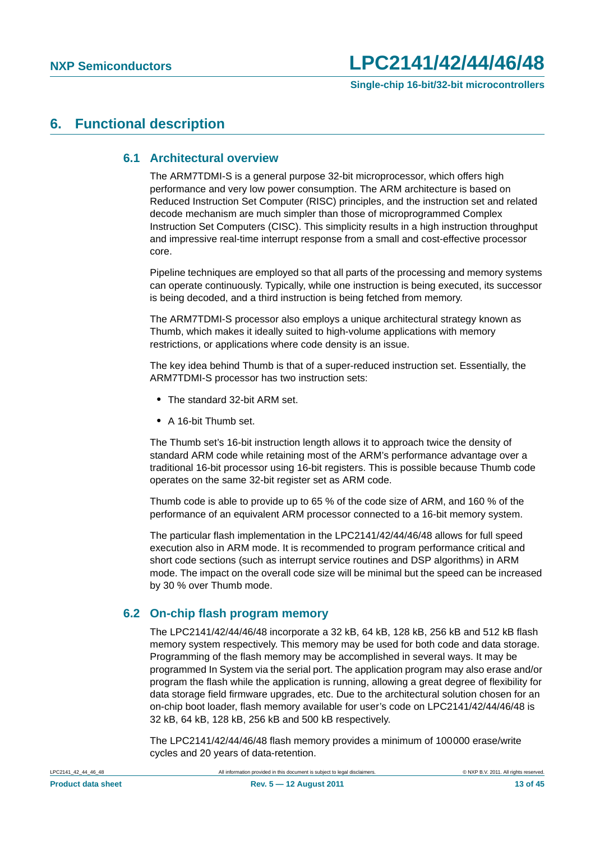### <span id="page-12-1"></span><span id="page-12-0"></span>**6. Functional description**

#### **6.1 Architectural overview**

The ARM7TDMI-S is a general purpose 32-bit microprocessor, which offers high performance and very low power consumption. The ARM architecture is based on Reduced Instruction Set Computer (RISC) principles, and the instruction set and related decode mechanism are much simpler than those of microprogrammed Complex Instruction Set Computers (CISC). This simplicity results in a high instruction throughput and impressive real-time interrupt response from a small and cost-effective processor core.

Pipeline techniques are employed so that all parts of the processing and memory systems can operate continuously. Typically, while one instruction is being executed, its successor is being decoded, and a third instruction is being fetched from memory.

The ARM7TDMI-S processor also employs a unique architectural strategy known as Thumb, which makes it ideally suited to high-volume applications with memory restrictions, or applications where code density is an issue.

The key idea behind Thumb is that of a super-reduced instruction set. Essentially, the ARM7TDMI-S processor has two instruction sets:

- **•** The standard 32-bit ARM set.
- **•** A 16-bit Thumb set.

The Thumb set's 16-bit instruction length allows it to approach twice the density of standard ARM code while retaining most of the ARM's performance advantage over a traditional 16-bit processor using 16-bit registers. This is possible because Thumb code operates on the same 32-bit register set as ARM code.

Thumb code is able to provide up to 65 % of the code size of ARM, and 160 % of the performance of an equivalent ARM processor connected to a 16-bit memory system.

The particular flash implementation in the LPC2141/42/44/46/48 allows for full speed execution also in ARM mode. It is recommended to program performance critical and short code sections (such as interrupt service routines and DSP algorithms) in ARM mode. The impact on the overall code size will be minimal but the speed can be increased by 30 % over Thumb mode.

#### <span id="page-12-2"></span>**6.2 On-chip flash program memory**

The LPC2141/42/44/46/48 incorporate a 32 kB, 64 kB, 128 kB, 256 kB and 512 kB flash memory system respectively. This memory may be used for both code and data storage. Programming of the flash memory may be accomplished in several ways. It may be programmed In System via the serial port. The application program may also erase and/or program the flash while the application is running, allowing a great degree of flexibility for data storage field firmware upgrades, etc. Due to the architectural solution chosen for an on-chip boot loader, flash memory available for user's code on LPC2141/42/44/46/48 is 32 kB, 64 kB, 128 kB, 256 kB and 500 kB respectively.

The LPC2141/42/44/46/48 flash memory provides a minimum of 100000 erase/write cycles and 20 years of data-retention.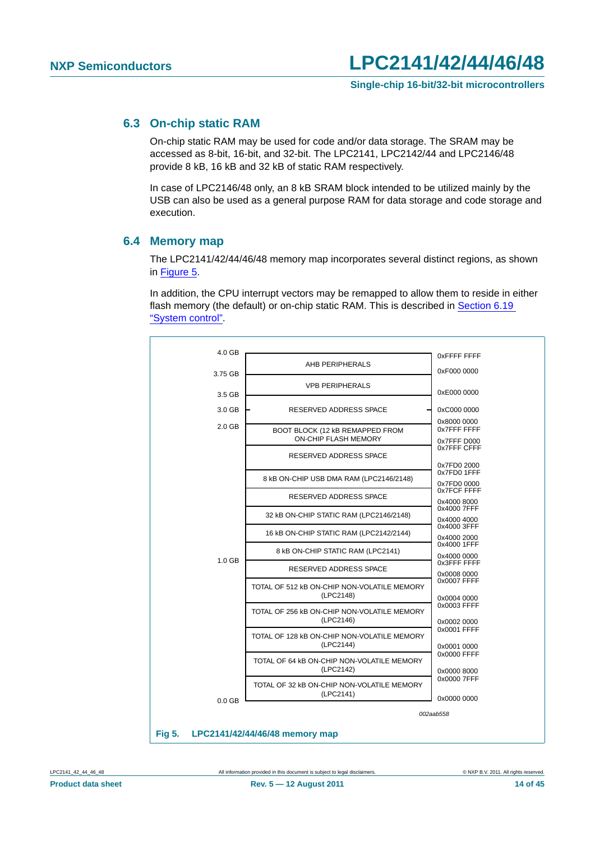#### <span id="page-13-1"></span>**6.3 On-chip static RAM**

On-chip static RAM may be used for code and/or data storage. The SRAM may be accessed as 8-bit, 16-bit, and 32-bit. The LPC2141, LPC2142/44 and LPC2146/48 provide 8 kB, 16 kB and 32 kB of static RAM respectively.

In case of LPC2146/48 only, an 8 kB SRAM block intended to be utilized mainly by the USB can also be used as a general purpose RAM for data storage and code storage and execution.

#### <span id="page-13-2"></span>**6.4 Memory map**

The LPC2141/42/44/46/48 memory map incorporates several distinct regions, as shown in [Figure 5](#page-13-0).

In addition, the CPU interrupt vectors may be remapped to allow them to reside in either flash memory (the default) or on-chip static RAM. This is described in [Section 6.19](#page-21-0)  ["System control".](#page-21-0)



<span id="page-13-0"></span>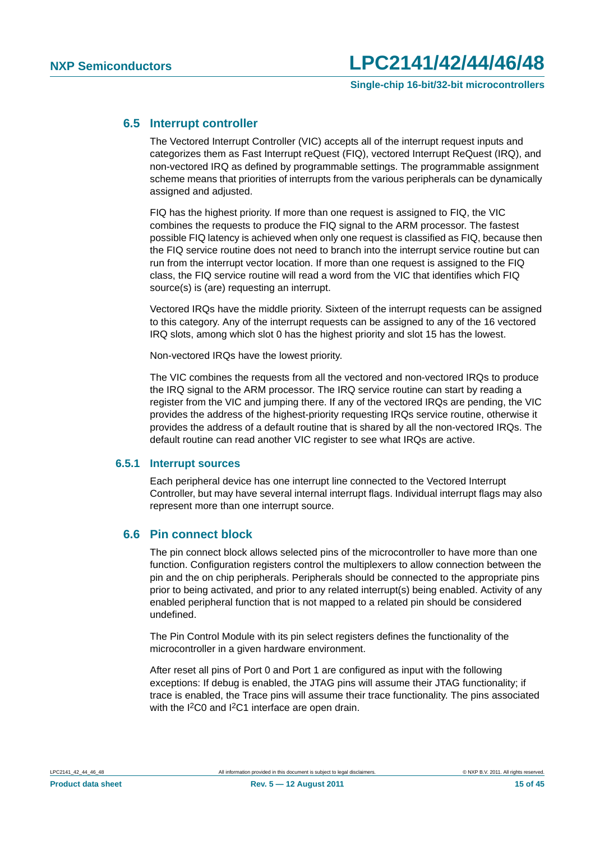#### <span id="page-14-0"></span>**6.5 Interrupt controller**

The Vectored Interrupt Controller (VIC) accepts all of the interrupt request inputs and categorizes them as Fast Interrupt reQuest (FIQ), vectored Interrupt ReQuest (IRQ), and non-vectored IRQ as defined by programmable settings. The programmable assignment scheme means that priorities of interrupts from the various peripherals can be dynamically assigned and adjusted.

FIQ has the highest priority. If more than one request is assigned to FIQ, the VIC combines the requests to produce the FIQ signal to the ARM processor. The fastest possible FIQ latency is achieved when only one request is classified as FIQ, because then the FIQ service routine does not need to branch into the interrupt service routine but can run from the interrupt vector location. If more than one request is assigned to the FIQ class, the FIQ service routine will read a word from the VIC that identifies which FIQ source(s) is (are) requesting an interrupt.

Vectored IRQs have the middle priority. Sixteen of the interrupt requests can be assigned to this category. Any of the interrupt requests can be assigned to any of the 16 vectored IRQ slots, among which slot 0 has the highest priority and slot 15 has the lowest.

Non-vectored IRQs have the lowest priority.

The VIC combines the requests from all the vectored and non-vectored IRQs to produce the IRQ signal to the ARM processor. The IRQ service routine can start by reading a register from the VIC and jumping there. If any of the vectored IRQs are pending, the VIC provides the address of the highest-priority requesting IRQs service routine, otherwise it provides the address of a default routine that is shared by all the non-vectored IRQs. The default routine can read another VIC register to see what IRQs are active.

#### <span id="page-14-1"></span>**6.5.1 Interrupt sources**

Each peripheral device has one interrupt line connected to the Vectored Interrupt Controller, but may have several internal interrupt flags. Individual interrupt flags may also represent more than one interrupt source.

### <span id="page-14-2"></span>**6.6 Pin connect block**

The pin connect block allows selected pins of the microcontroller to have more than one function. Configuration registers control the multiplexers to allow connection between the pin and the on chip peripherals. Peripherals should be connected to the appropriate pins prior to being activated, and prior to any related interrupt(s) being enabled. Activity of any enabled peripheral function that is not mapped to a related pin should be considered undefined.

The Pin Control Module with its pin select registers defines the functionality of the microcontroller in a given hardware environment.

After reset all pins of Port 0 and Port 1 are configured as input with the following exceptions: If debug is enabled, the JTAG pins will assume their JTAG functionality; if trace is enabled, the Trace pins will assume their trace functionality. The pins associated with the I<sup>2</sup>C0 and I<sup>2</sup>C1 interface are open drain.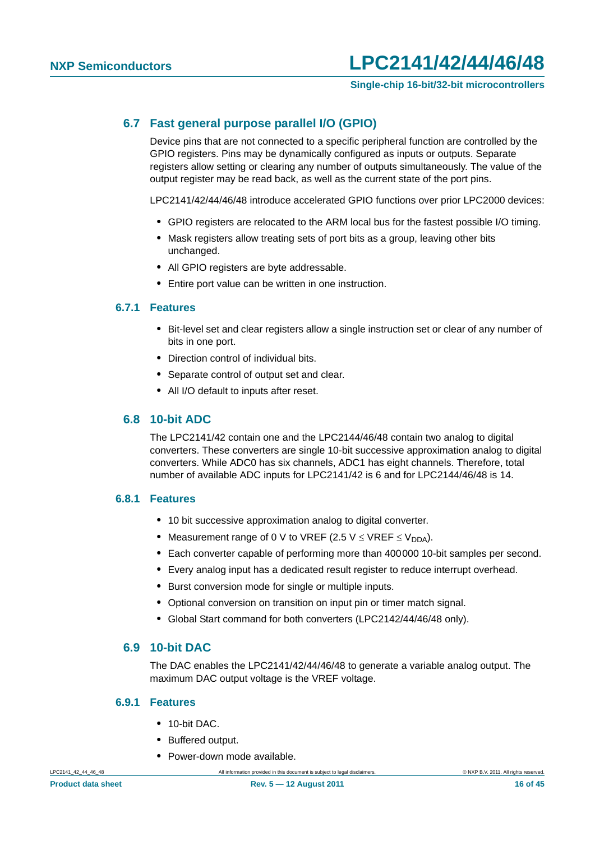#### <span id="page-15-0"></span>**6.7 Fast general purpose parallel I/O (GPIO)**

Device pins that are not connected to a specific peripheral function are controlled by the GPIO registers. Pins may be dynamically configured as inputs or outputs. Separate registers allow setting or clearing any number of outputs simultaneously. The value of the output register may be read back, as well as the current state of the port pins.

LPC2141/42/44/46/48 introduce accelerated GPIO functions over prior LPC2000 devices:

- **•** GPIO registers are relocated to the ARM local bus for the fastest possible I/O timing.
- **•** Mask registers allow treating sets of port bits as a group, leaving other bits unchanged.
- **•** All GPIO registers are byte addressable.
- **•** Entire port value can be written in one instruction.

#### <span id="page-15-1"></span>**6.7.1 Features**

- **•** Bit-level set and clear registers allow a single instruction set or clear of any number of bits in one port.
- **•** Direction control of individual bits.
- **•** Separate control of output set and clear.
- **•** All I/O default to inputs after reset.

#### <span id="page-15-2"></span>**6.8 10-bit ADC**

The LPC2141/42 contain one and the LPC2144/46/48 contain two analog to digital converters. These converters are single 10-bit successive approximation analog to digital converters. While ADC0 has six channels, ADC1 has eight channels. Therefore, total number of available ADC inputs for LPC2141/42 is 6 and for LPC2144/46/48 is 14.

#### <span id="page-15-3"></span>**6.8.1 Features**

- **•** 10 bit successive approximation analog to digital converter.
- Measurement range of 0 V to VREF (2.5 V  $\leq$  VREF  $\leq$  V<sub>DDA</sub>).
- **•** Each converter capable of performing more than 400000 10-bit samples per second.
- **•** Every analog input has a dedicated result register to reduce interrupt overhead.
- **•** Burst conversion mode for single or multiple inputs.
- **•** Optional conversion on transition on input pin or timer match signal.
- **•** Global Start command for both converters (LPC2142/44/46/48 only).

#### <span id="page-15-4"></span>**6.9 10-bit DAC**

The DAC enables the LPC2141/42/44/46/48 to generate a variable analog output. The maximum DAC output voltage is the VREF voltage.

#### <span id="page-15-5"></span>**6.9.1 Features**

- **•** 10-bit DAC.
- **•** Buffered output.
- **•** Power-down mode available.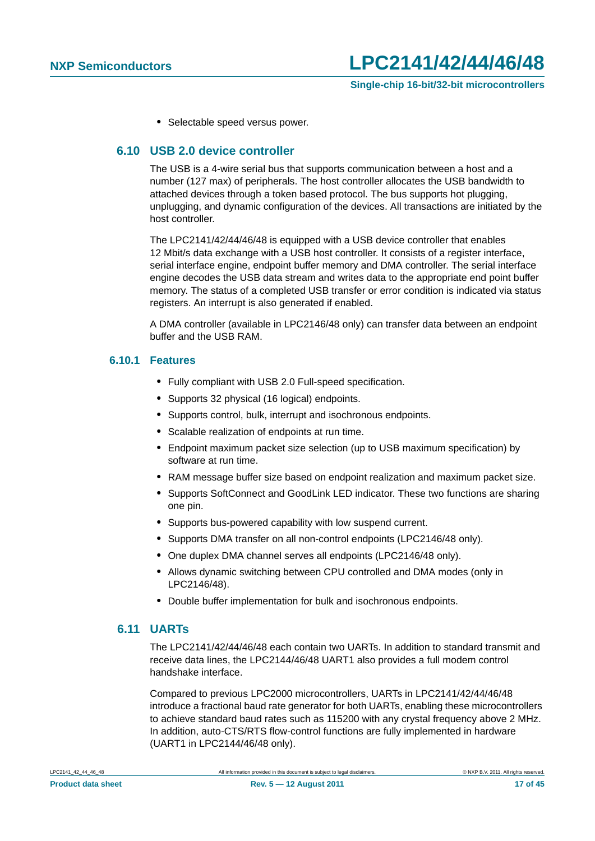**•** Selectable speed versus power.

#### <span id="page-16-0"></span>**6.10 USB 2.0 device controller**

The USB is a 4-wire serial bus that supports communication between a host and a number (127 max) of peripherals. The host controller allocates the USB bandwidth to attached devices through a token based protocol. The bus supports hot plugging, unplugging, and dynamic configuration of the devices. All transactions are initiated by the host controller.

The LPC2141/42/44/46/48 is equipped with a USB device controller that enables 12 Mbit/s data exchange with a USB host controller. It consists of a register interface, serial interface engine, endpoint buffer memory and DMA controller. The serial interface engine decodes the USB data stream and writes data to the appropriate end point buffer memory. The status of a completed USB transfer or error condition is indicated via status registers. An interrupt is also generated if enabled.

A DMA controller (available in LPC2146/48 only) can transfer data between an endpoint buffer and the USB RAM.

#### <span id="page-16-1"></span>**6.10.1 Features**

- **•** Fully compliant with USB 2.0 Full-speed specification.
- **•** Supports 32 physical (16 logical) endpoints.
- **•** Supports control, bulk, interrupt and isochronous endpoints.
- **•** Scalable realization of endpoints at run time.
- **•** Endpoint maximum packet size selection (up to USB maximum specification) by software at run time.
- **•** RAM message buffer size based on endpoint realization and maximum packet size.
- **•** Supports SoftConnect and GoodLink LED indicator. These two functions are sharing one pin.
- **•** Supports bus-powered capability with low suspend current.
- **•** Supports DMA transfer on all non-control endpoints (LPC2146/48 only).
- **•** One duplex DMA channel serves all endpoints (LPC2146/48 only).
- **•** Allows dynamic switching between CPU controlled and DMA modes (only in LPC2146/48).
- **•** Double buffer implementation for bulk and isochronous endpoints.

### <span id="page-16-2"></span>**6.11 UARTs**

The LPC2141/42/44/46/48 each contain two UARTs. In addition to standard transmit and receive data lines, the LPC2144/46/48 UART1 also provides a full modem control handshake interface.

Compared to previous LPC2000 microcontrollers, UARTs in LPC2141/42/44/46/48 introduce a fractional baud rate generator for both UARTs, enabling these microcontrollers to achieve standard baud rates such as 115200 with any crystal frequency above 2 MHz. In addition, auto-CTS/RTS flow-control functions are fully implemented in hardware (UART1 in LPC2144/46/48 only).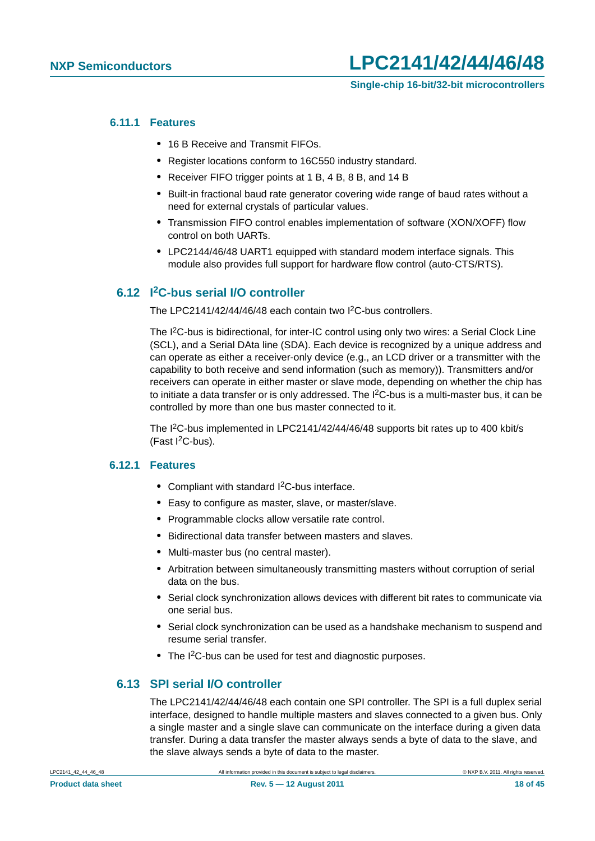#### <span id="page-17-0"></span>**6.11.1 Features**

- **•** 16 B Receive and Transmit FIFOs.
- **•** Register locations conform to 16C550 industry standard.
- **•** Receiver FIFO trigger points at 1 B, 4 B, 8 B, and 14 B
- **•** Built-in fractional baud rate generator covering wide range of baud rates without a need for external crystals of particular values.
- **•** Transmission FIFO control enables implementation of software (XON/XOFF) flow control on both UARTs.
- **•** LPC2144/46/48 UART1 equipped with standard modem interface signals. This module also provides full support for hardware flow control (auto-CTS/RTS).

#### <span id="page-17-1"></span>**6.12 I2C-bus serial I/O controller**

The LPC2141/42/44/46/48 each contain two I2C-bus controllers.

The I<sup>2</sup>C-bus is bidirectional, for inter-IC control using only two wires: a Serial Clock Line (SCL), and a Serial DAta line (SDA). Each device is recognized by a unique address and can operate as either a receiver-only device (e.g., an LCD driver or a transmitter with the capability to both receive and send information (such as memory)). Transmitters and/or receivers can operate in either master or slave mode, depending on whether the chip has to initiate a data transfer or is only addressed. The  $I^2C$ -bus is a multi-master bus, it can be controlled by more than one bus master connected to it.

The I<sup>2</sup>C-bus implemented in LPC2141/42/44/46/48 supports bit rates up to 400 kbit/s (Fast  $l^2C$ -bus).

#### <span id="page-17-2"></span>**6.12.1 Features**

- **•** Compliant with standard I2C-bus interface.
- **•** Easy to configure as master, slave, or master/slave.
- **•** Programmable clocks allow versatile rate control.
- **•** Bidirectional data transfer between masters and slaves.
- **•** Multi-master bus (no central master).
- **•** Arbitration between simultaneously transmitting masters without corruption of serial data on the bus.
- **•** Serial clock synchronization allows devices with different bit rates to communicate via one serial bus.
- **•** Serial clock synchronization can be used as a handshake mechanism to suspend and resume serial transfer.
- **•** The I2C-bus can be used for test and diagnostic purposes.

#### <span id="page-17-3"></span>**6.13 SPI serial I/O controller**

The LPC2141/42/44/46/48 each contain one SPI controller. The SPI is a full duplex serial interface, designed to handle multiple masters and slaves connected to a given bus. Only a single master and a single slave can communicate on the interface during a given data transfer. During a data transfer the master always sends a byte of data to the slave, and the slave always sends a byte of data to the master.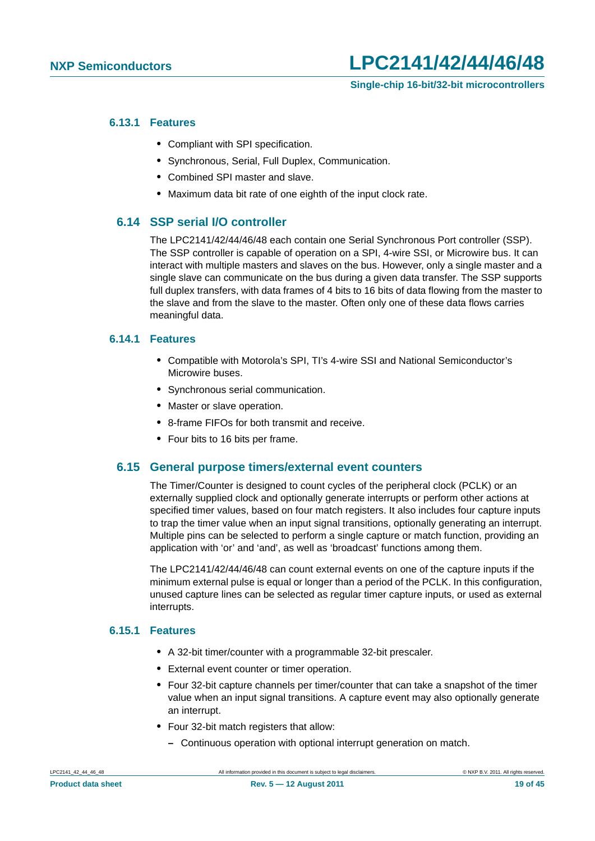#### <span id="page-18-0"></span>**6.13.1 Features**

- **•** Compliant with SPI specification.
- **•** Synchronous, Serial, Full Duplex, Communication.
- **•** Combined SPI master and slave.
- **•** Maximum data bit rate of one eighth of the input clock rate.

#### <span id="page-18-1"></span>**6.14 SSP serial I/O controller**

The LPC2141/42/44/46/48 each contain one Serial Synchronous Port controller (SSP). The SSP controller is capable of operation on a SPI, 4-wire SSI, or Microwire bus. It can interact with multiple masters and slaves on the bus. However, only a single master and a single slave can communicate on the bus during a given data transfer. The SSP supports full duplex transfers, with data frames of 4 bits to 16 bits of data flowing from the master to the slave and from the slave to the master. Often only one of these data flows carries meaningful data.

#### <span id="page-18-2"></span>**6.14.1 Features**

- **•** Compatible with Motorola's SPI, TI's 4-wire SSI and National Semiconductor's Microwire buses.
- **•** Synchronous serial communication.
- **•** Master or slave operation.
- **•** 8-frame FIFOs for both transmit and receive.
- **•** Four bits to 16 bits per frame.

#### <span id="page-18-3"></span>**6.15 General purpose timers/external event counters**

The Timer/Counter is designed to count cycles of the peripheral clock (PCLK) or an externally supplied clock and optionally generate interrupts or perform other actions at specified timer values, based on four match registers. It also includes four capture inputs to trap the timer value when an input signal transitions, optionally generating an interrupt. Multiple pins can be selected to perform a single capture or match function, providing an application with 'or' and 'and', as well as 'broadcast' functions among them.

The LPC2141/42/44/46/48 can count external events on one of the capture inputs if the minimum external pulse is equal or longer than a period of the PCLK. In this configuration, unused capture lines can be selected as regular timer capture inputs, or used as external interrupts.

#### <span id="page-18-4"></span>**6.15.1 Features**

- **•** A 32-bit timer/counter with a programmable 32-bit prescaler.
- **•** External event counter or timer operation.
- **•** Four 32-bit capture channels per timer/counter that can take a snapshot of the timer value when an input signal transitions. A capture event may also optionally generate an interrupt.
- **•** Four 32-bit match registers that allow:
	- **–** Continuous operation with optional interrupt generation on match.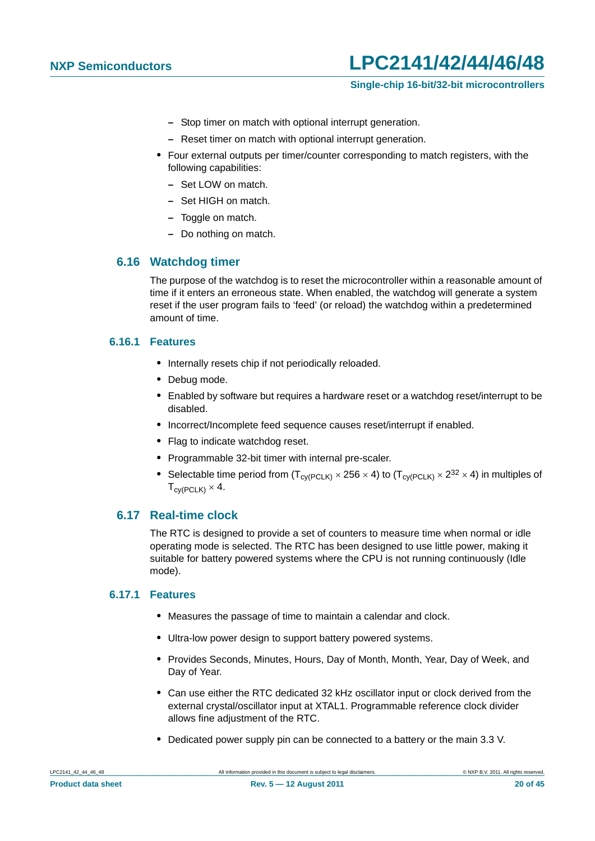#### **Single-chip 16-bit/32-bit microcontrollers**

- **–** Stop timer on match with optional interrupt generation.
- **–** Reset timer on match with optional interrupt generation.
- **•** Four external outputs per timer/counter corresponding to match registers, with the following capabilities:
	- **–** Set LOW on match.
	- **–** Set HIGH on match.
	- **–** Toggle on match.
	- **–** Do nothing on match.

#### <span id="page-19-0"></span>**6.16 Watchdog timer**

The purpose of the watchdog is to reset the microcontroller within a reasonable amount of time if it enters an erroneous state. When enabled, the watchdog will generate a system reset if the user program fails to 'feed' (or reload) the watchdog within a predetermined amount of time.

#### <span id="page-19-1"></span>**6.16.1 Features**

- **•** Internally resets chip if not periodically reloaded.
- **•** Debug mode.
- **•** Enabled by software but requires a hardware reset or a watchdog reset/interrupt to be disabled.
- **•** Incorrect/Incomplete feed sequence causes reset/interrupt if enabled.
- **•** Flag to indicate watchdog reset.
- **•** Programmable 32-bit timer with internal pre-scaler.
- Selectable time period from  $(T_{\text{cv(PCLK)}} \times 256 \times 4)$  to  $(T_{\text{cv(PCLK)}} \times 2^{32} \times 4)$  in multiples of  $T_{\text{c}V(\text{PCL K})} \times 4$ .

#### <span id="page-19-2"></span>**6.17 Real-time clock**

The RTC is designed to provide a set of counters to measure time when normal or idle operating mode is selected. The RTC has been designed to use little power, making it suitable for battery powered systems where the CPU is not running continuously (Idle mode).

#### <span id="page-19-3"></span>**6.17.1 Features**

- **•** Measures the passage of time to maintain a calendar and clock.
- **•** Ultra-low power design to support battery powered systems.
- **•** Provides Seconds, Minutes, Hours, Day of Month, Month, Year, Day of Week, and Day of Year.
- **•** Can use either the RTC dedicated 32 kHz oscillator input or clock derived from the external crystal/oscillator input at XTAL1. Programmable reference clock divider allows fine adjustment of the RTC.
- **•** Dedicated power supply pin can be connected to a battery or the main 3.3 V.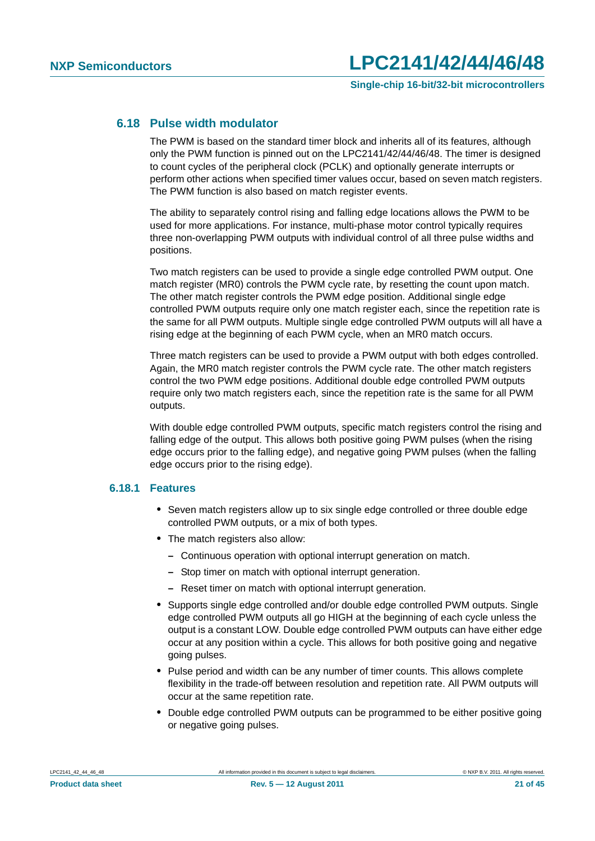#### <span id="page-20-0"></span>**6.18 Pulse width modulator**

The PWM is based on the standard timer block and inherits all of its features, although only the PWM function is pinned out on the LPC2141/42/44/46/48. The timer is designed to count cycles of the peripheral clock (PCLK) and optionally generate interrupts or perform other actions when specified timer values occur, based on seven match registers. The PWM function is also based on match register events.

The ability to separately control rising and falling edge locations allows the PWM to be used for more applications. For instance, multi-phase motor control typically requires three non-overlapping PWM outputs with individual control of all three pulse widths and positions.

Two match registers can be used to provide a single edge controlled PWM output. One match register (MR0) controls the PWM cycle rate, by resetting the count upon match. The other match register controls the PWM edge position. Additional single edge controlled PWM outputs require only one match register each, since the repetition rate is the same for all PWM outputs. Multiple single edge controlled PWM outputs will all have a rising edge at the beginning of each PWM cycle, when an MR0 match occurs.

Three match registers can be used to provide a PWM output with both edges controlled. Again, the MR0 match register controls the PWM cycle rate. The other match registers control the two PWM edge positions. Additional double edge controlled PWM outputs require only two match registers each, since the repetition rate is the same for all PWM outputs.

With double edge controlled PWM outputs, specific match registers control the rising and falling edge of the output. This allows both positive going PWM pulses (when the rising edge occurs prior to the falling edge), and negative going PWM pulses (when the falling edge occurs prior to the rising edge).

#### <span id="page-20-1"></span>**6.18.1 Features**

- **•** Seven match registers allow up to six single edge controlled or three double edge controlled PWM outputs, or a mix of both types.
- **•** The match registers also allow:
	- **–** Continuous operation with optional interrupt generation on match.
	- **–** Stop timer on match with optional interrupt generation.
	- **–** Reset timer on match with optional interrupt generation.
- **•** Supports single edge controlled and/or double edge controlled PWM outputs. Single edge controlled PWM outputs all go HIGH at the beginning of each cycle unless the output is a constant LOW. Double edge controlled PWM outputs can have either edge occur at any position within a cycle. This allows for both positive going and negative going pulses.
- **•** Pulse period and width can be any number of timer counts. This allows complete flexibility in the trade-off between resolution and repetition rate. All PWM outputs will occur at the same repetition rate.
- **•** Double edge controlled PWM outputs can be programmed to be either positive going or negative going pulses.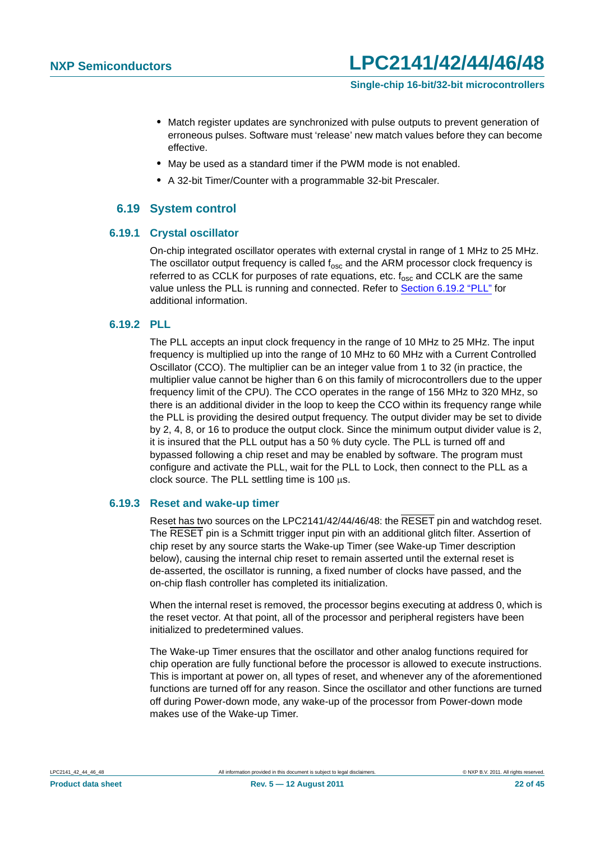- **•** Match register updates are synchronized with pulse outputs to prevent generation of erroneous pulses. Software must 'release' new match values before they can become effective.
- **•** May be used as a standard timer if the PWM mode is not enabled.
- **•** A 32-bit Timer/Counter with a programmable 32-bit Prescaler.

#### **6.19 System control**

#### <span id="page-21-2"></span><span id="page-21-0"></span>**6.19.1 Crystal oscillator**

On-chip integrated oscillator operates with external crystal in range of 1 MHz to 25 MHz. The oscillator output frequency is called  $f_{\rm osc}$  and the ARM processor clock frequency is referred to as CCLK for purposes of rate equations, etc.  $f_{osc}$  and CCLK are the same value unless the PLL is running and connected. Refer to [Section 6.19.2 "PLL"](#page-21-1) for additional information.

#### <span id="page-21-1"></span>**6.19.2 PLL**

The PLL accepts an input clock frequency in the range of 10 MHz to 25 MHz. The input frequency is multiplied up into the range of 10 MHz to 60 MHz with a Current Controlled Oscillator (CCO). The multiplier can be an integer value from 1 to 32 (in practice, the multiplier value cannot be higher than 6 on this family of microcontrollers due to the upper frequency limit of the CPU). The CCO operates in the range of 156 MHz to 320 MHz, so there is an additional divider in the loop to keep the CCO within its frequency range while the PLL is providing the desired output frequency. The output divider may be set to divide by 2, 4, 8, or 16 to produce the output clock. Since the minimum output divider value is 2, it is insured that the PLL output has a 50 % duty cycle. The PLL is turned off and bypassed following a chip reset and may be enabled by software. The program must configure and activate the PLL, wait for the PLL to Lock, then connect to the PLL as a clock source. The PLL settling time is  $100 \mu s$ .

#### <span id="page-21-3"></span>**6.19.3 Reset and wake-up timer**

Reset has two sources on the LPC2141/42/44/46/48: the RESET pin and watchdog reset. The RESET pin is a Schmitt trigger input pin with an additional glitch filter. Assertion of chip reset by any source starts the Wake-up Timer (see Wake-up Timer description below), causing the internal chip reset to remain asserted until the external reset is de-asserted, the oscillator is running, a fixed number of clocks have passed, and the on-chip flash controller has completed its initialization.

When the internal reset is removed, the processor begins executing at address 0, which is the reset vector. At that point, all of the processor and peripheral registers have been initialized to predetermined values.

The Wake-up Timer ensures that the oscillator and other analog functions required for chip operation are fully functional before the processor is allowed to execute instructions. This is important at power on, all types of reset, and whenever any of the aforementioned functions are turned off for any reason. Since the oscillator and other functions are turned off during Power-down mode, any wake-up of the processor from Power-down mode makes use of the Wake-up Timer.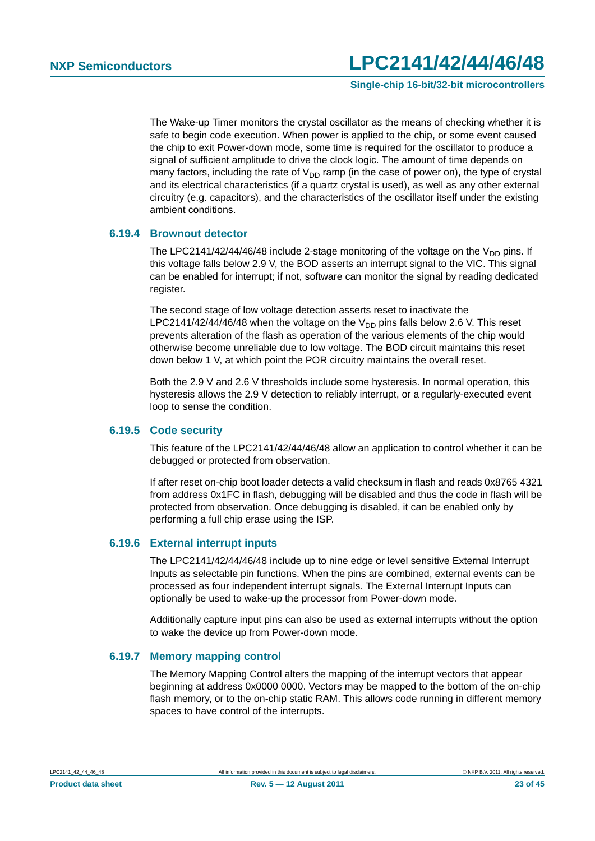**Single-chip 16-bit/32-bit microcontrollers**

The Wake-up Timer monitors the crystal oscillator as the means of checking whether it is safe to begin code execution. When power is applied to the chip, or some event caused the chip to exit Power-down mode, some time is required for the oscillator to produce a signal of sufficient amplitude to drive the clock logic. The amount of time depends on many factors, including the rate of  $V_{DD}$  ramp (in the case of power on), the type of crystal and its electrical characteristics (if a quartz crystal is used), as well as any other external circuitry (e.g. capacitors), and the characteristics of the oscillator itself under the existing ambient conditions.

#### <span id="page-22-0"></span>**6.19.4 Brownout detector**

The LPC2141/42/44/46/48 include 2-stage monitoring of the voltage on the  $V_{DD}$  pins. If this voltage falls below 2.9 V, the BOD asserts an interrupt signal to the VIC. This signal can be enabled for interrupt; if not, software can monitor the signal by reading dedicated register.

The second stage of low voltage detection asserts reset to inactivate the LPC2141/42/44/46/48 when the voltage on the  $V_{DD}$  pins falls below 2.6 V. This reset prevents alteration of the flash as operation of the various elements of the chip would otherwise become unreliable due to low voltage. The BOD circuit maintains this reset down below 1 V, at which point the POR circuitry maintains the overall reset.

Both the 2.9 V and 2.6 V thresholds include some hysteresis. In normal operation, this hysteresis allows the 2.9 V detection to reliably interrupt, or a regularly-executed event loop to sense the condition.

#### <span id="page-22-1"></span>**6.19.5 Code security**

This feature of the LPC2141/42/44/46/48 allow an application to control whether it can be debugged or protected from observation.

If after reset on-chip boot loader detects a valid checksum in flash and reads 0x8765 4321 from address 0x1FC in flash, debugging will be disabled and thus the code in flash will be protected from observation. Once debugging is disabled, it can be enabled only by performing a full chip erase using the ISP.

#### <span id="page-22-2"></span>**6.19.6 External interrupt inputs**

The LPC2141/42/44/46/48 include up to nine edge or level sensitive External Interrupt Inputs as selectable pin functions. When the pins are combined, external events can be processed as four independent interrupt signals. The External Interrupt Inputs can optionally be used to wake-up the processor from Power-down mode.

Additionally capture input pins can also be used as external interrupts without the option to wake the device up from Power-down mode.

#### <span id="page-22-3"></span>**6.19.7 Memory mapping control**

The Memory Mapping Control alters the mapping of the interrupt vectors that appear beginning at address 0x0000 0000. Vectors may be mapped to the bottom of the on-chip flash memory, or to the on-chip static RAM. This allows code running in different memory spaces to have control of the interrupts.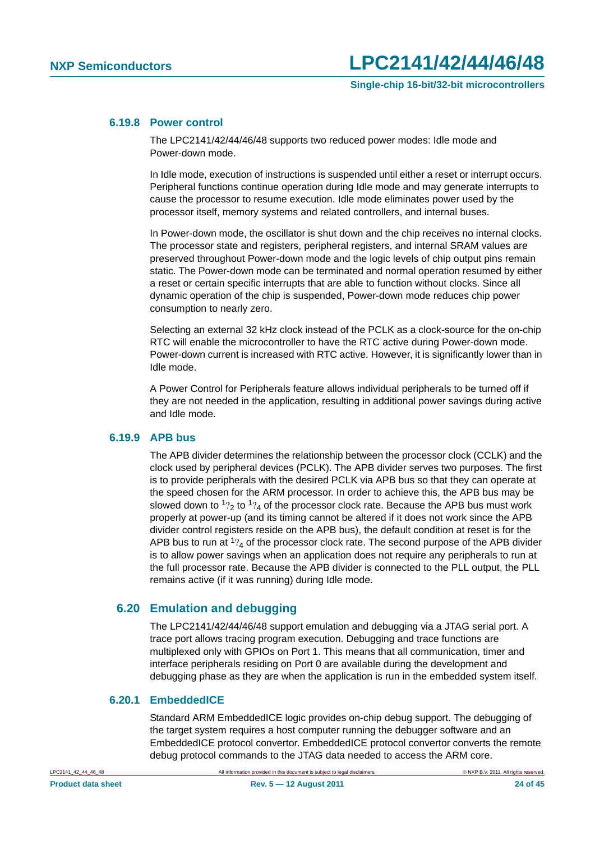#### <span id="page-23-0"></span>**6.19.8 Power control**

The LPC2141/42/44/46/48 supports two reduced power modes: Idle mode and Power-down mode.

In Idle mode, execution of instructions is suspended until either a reset or interrupt occurs. Peripheral functions continue operation during Idle mode and may generate interrupts to cause the processor to resume execution. Idle mode eliminates power used by the processor itself, memory systems and related controllers, and internal buses.

In Power-down mode, the oscillator is shut down and the chip receives no internal clocks. The processor state and registers, peripheral registers, and internal SRAM values are preserved throughout Power-down mode and the logic levels of chip output pins remain static. The Power-down mode can be terminated and normal operation resumed by either a reset or certain specific interrupts that are able to function without clocks. Since all dynamic operation of the chip is suspended, Power-down mode reduces chip power consumption to nearly zero.

Selecting an external 32 kHz clock instead of the PCLK as a clock-source for the on-chip RTC will enable the microcontroller to have the RTC active during Power-down mode. Power-down current is increased with RTC active. However, it is significantly lower than in Idle mode.

A Power Control for Peripherals feature allows individual peripherals to be turned off if they are not needed in the application, resulting in additional power savings during active and Idle mode.

#### <span id="page-23-1"></span>**6.19.9 APB bus**

The APB divider determines the relationship between the processor clock (CCLK) and the clock used by peripheral devices (PCLK). The APB divider serves two purposes. The first is to provide peripherals with the desired PCLK via APB bus so that they can operate at the speed chosen for the ARM processor. In order to achieve this, the APB bus may be slowed down to  $1\frac{1}{2}$  to  $1\frac{1}{4}$  of the processor clock rate. Because the APB bus must work properly at power-up (and its timing cannot be altered if it does not work since the APB divider control registers reside on the APB bus), the default condition at reset is for the APB bus to run at  $1\frac{1}{4}$  of the processor clock rate. The second purpose of the APB divider is to allow power savings when an application does not require any peripherals to run at the full processor rate. Because the APB divider is connected to the PLL output, the PLL remains active (if it was running) during Idle mode.

#### <span id="page-23-2"></span>**6.20 Emulation and debugging**

The LPC2141/42/44/46/48 support emulation and debugging via a JTAG serial port. A trace port allows tracing program execution. Debugging and trace functions are multiplexed only with GPIOs on Port 1. This means that all communication, timer and interface peripherals residing on Port 0 are available during the development and debugging phase as they are when the application is run in the embedded system itself.

### <span id="page-23-3"></span>**6.20.1 EmbeddedICE**

Standard ARM EmbeddedICE logic provides on-chip debug support. The debugging of the target system requires a host computer running the debugger software and an EmbeddedICE protocol convertor. EmbeddedICE protocol convertor converts the remote debug protocol commands to the JTAG data needed to access the ARM core.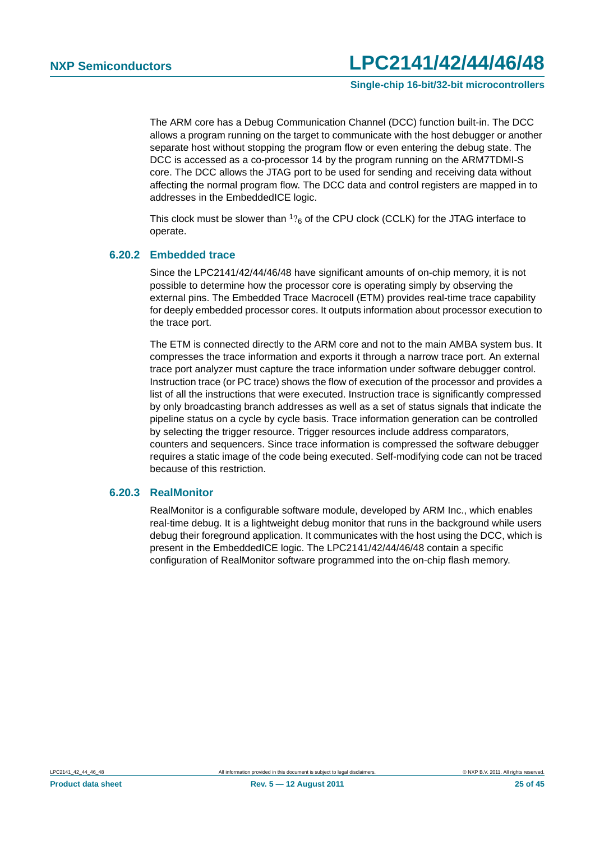**Single-chip 16-bit/32-bit microcontrollers**

The ARM core has a Debug Communication Channel (DCC) function built-in. The DCC allows a program running on the target to communicate with the host debugger or another separate host without stopping the program flow or even entering the debug state. The DCC is accessed as a co-processor 14 by the program running on the ARM7TDMI-S core. The DCC allows the JTAG port to be used for sending and receiving data without affecting the normal program flow. The DCC data and control registers are mapped in to addresses in the EmbeddedICE logic.

This clock must be slower than  $\frac{1}{6}$  of the CPU clock (CCLK) for the JTAG interface to operate.

#### <span id="page-24-0"></span>**6.20.2 Embedded trace**

Since the LPC2141/42/44/46/48 have significant amounts of on-chip memory, it is not possible to determine how the processor core is operating simply by observing the external pins. The Embedded Trace Macrocell (ETM) provides real-time trace capability for deeply embedded processor cores. It outputs information about processor execution to the trace port.

The ETM is connected directly to the ARM core and not to the main AMBA system bus. It compresses the trace information and exports it through a narrow trace port. An external trace port analyzer must capture the trace information under software debugger control. Instruction trace (or PC trace) shows the flow of execution of the processor and provides a list of all the instructions that were executed. Instruction trace is significantly compressed by only broadcasting branch addresses as well as a set of status signals that indicate the pipeline status on a cycle by cycle basis. Trace information generation can be controlled by selecting the trigger resource. Trigger resources include address comparators, counters and sequencers. Since trace information is compressed the software debugger requires a static image of the code being executed. Self-modifying code can not be traced because of this restriction.

#### <span id="page-24-1"></span>**6.20.3 RealMonitor**

RealMonitor is a configurable software module, developed by ARM Inc., which enables real-time debug. It is a lightweight debug monitor that runs in the background while users debug their foreground application. It communicates with the host using the DCC, which is present in the EmbeddedICE logic. The LPC2141/42/44/46/48 contain a specific configuration of RealMonitor software programmed into the on-chip flash memory.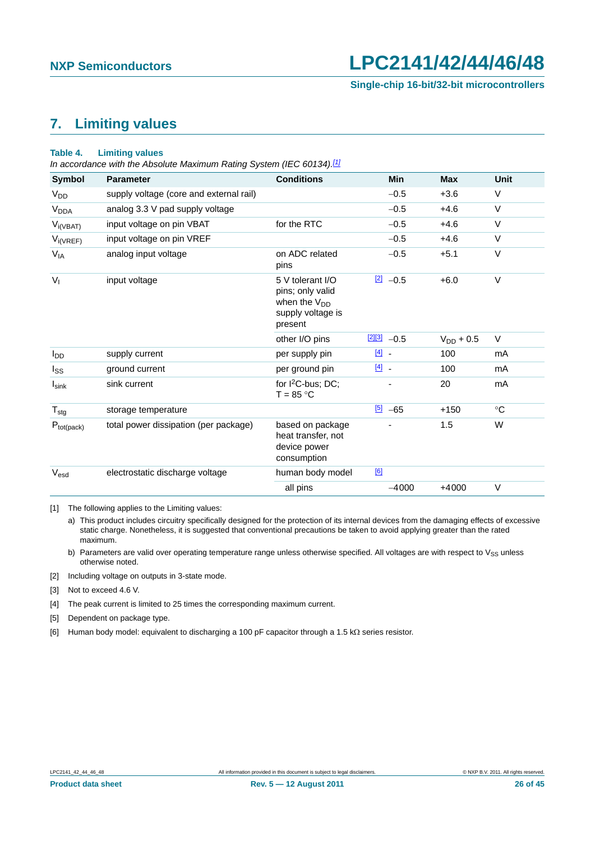## <span id="page-25-7"></span>**7. Limiting values**

#### <span id="page-25-6"></span>**Table 4. Limiting values**

*In accordance with the Absolute Maximum Rating System (IEC 60134)[.\[1\]](#page-25-0)*

| <b>Symbol</b>          | <b>Parameter</b>                        | <b>Conditions</b>                                                                                | <b>Min</b>                        | <b>Max</b>     | <b>Unit</b> |
|------------------------|-----------------------------------------|--------------------------------------------------------------------------------------------------|-----------------------------------|----------------|-------------|
| <b>V<sub>DD</sub></b>  | supply voltage (core and external rail) |                                                                                                  | $-0.5$                            | $+3.6$         | V           |
| <b>V<sub>DDA</sub></b> | analog 3.3 V pad supply voltage         |                                                                                                  | $-0.5$                            | $+4.6$         | $\vee$      |
| $V_{i(VBAT)}$          | input voltage on pin VBAT               | for the RTC                                                                                      | $-0.5$                            | $+4.6$         | $\vee$      |
| $V_{i(VREF)}$          | input voltage on pin VREF               |                                                                                                  | $-0.5$                            | $+4.6$         | $\vee$      |
| $V_{IA}$               | analog input voltage                    | on ADC related<br>pins                                                                           | $-0.5$                            | $+5.1$         | $\vee$      |
| $V_{I}$                | input voltage                           | 5 V tolerant I/O<br>pins; only valid<br>when the V <sub>DD</sub><br>supply voltage is<br>present | $\boxed{2}$ -0.5                  | $+6.0$         | $\vee$      |
|                        |                                         | other I/O pins                                                                                   | $\frac{[2][3]}{2}$ -0.5           | $V_{DD}$ + 0.5 | V           |
| $I_{DD}$               | supply current                          | per supply pin                                                                                   | $\boxed{4}$                       | 100            | mA          |
| $I_{SS}$               | ground current                          | per ground pin                                                                                   | $\begin{bmatrix} 4 \end{bmatrix}$ | 100            | mA          |
| $I_{\text{sink}}$      | sink current                            | for $1^2C$ -bus: DC:<br>$T = 85 °C$                                                              |                                   | 20             | mA          |
| $T_{\text{stg}}$       | storage temperature                     |                                                                                                  | $\frac{[5]}{2}$ -65               | $+150$         | $^{\circ}C$ |
| $P_{tot(pack)}$        | total power dissipation (per package)   | based on package<br>heat transfer, not<br>device power<br>consumption                            |                                   | 1.5            | W           |
| Vesd                   | electrostatic discharge voltage         | human body model                                                                                 | [6]                               |                |             |
|                        |                                         | all pins                                                                                         | $-4000$                           | $+4000$        | V           |

<span id="page-25-0"></span>[1] The following applies to the Limiting values:

a) This product includes circuitry specifically designed for the protection of its internal devices from the damaging effects of excessive static charge. Nonetheless, it is suggested that conventional precautions be taken to avoid applying greater than the rated maximum.

b) Parameters are valid over operating temperature range unless otherwise specified. All voltages are with respect to  $V_{SS}$  unless otherwise noted.

<span id="page-25-1"></span>[2] Including voltage on outputs in 3-state mode.

<span id="page-25-2"></span>[3] Not to exceed 4.6 V.

<span id="page-25-3"></span>[4] The peak current is limited to 25 times the corresponding maximum current.

<span id="page-25-4"></span>[5] Dependent on package type.

<span id="page-25-5"></span>[6] Human body model: equivalent to discharging a 100 pF capacitor through a 1.5 k $\Omega$  series resistor.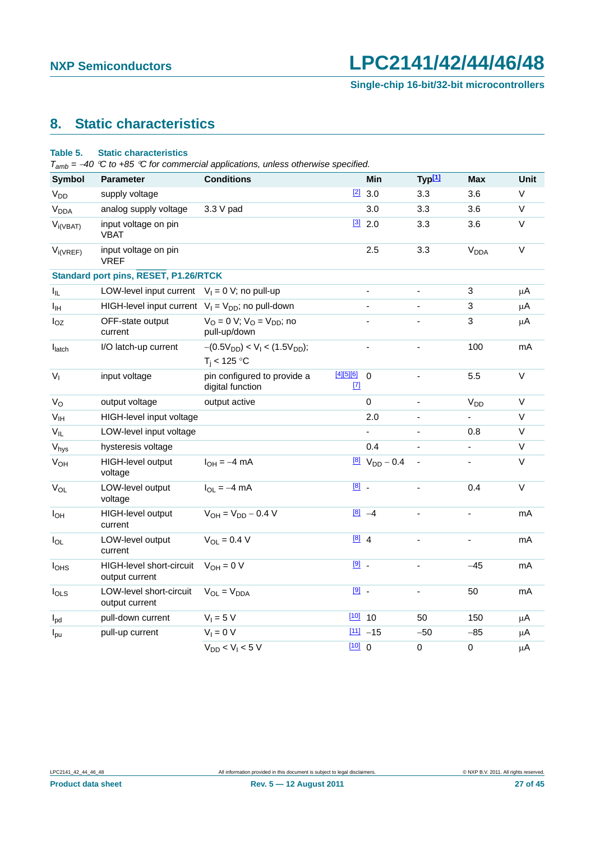## <span id="page-26-1"></span>**8. Static characteristics**

#### <span id="page-26-0"></span>**Table 5. Static characteristics**

*Tamb = 40 C to +85 C for commercial applications, unless otherwise specified.*

| <b>Symbol</b>          | <b>Parameter</b>                                       | <b>Conditions</b>                                     |                      | Min                        | Typ <sup>[1]</sup>       | <b>Max</b>             | Unit         |
|------------------------|--------------------------------------------------------|-------------------------------------------------------|----------------------|----------------------------|--------------------------|------------------------|--------------|
| <b>V<sub>DD</sub></b>  | supply voltage                                         |                                                       |                      | $[2]$ 3.0                  | 3.3                      | 3.6                    | V            |
| <b>V<sub>DDA</sub></b> | analog supply voltage                                  | 3.3 V pad                                             |                      | 3.0                        | 3.3                      | 3.6                    | $\vee$       |
| $V_{i(VBAT)}$          | input voltage on pin<br><b>VBAT</b>                    |                                                       |                      | $\frac{3}{2}$ 2.0          | 3.3                      | 3.6                    | V            |
| $V_{i(VREF)}$          | input voltage on pin<br><b>VREF</b>                    |                                                       |                      | 2.5                        | 3.3                      | <b>V<sub>DDA</sub></b> | $\mathsf{V}$ |
|                        | <b>Standard port pins, RESET, P1.26/RTCK</b>           |                                                       |                      |                            |                          |                        |              |
| I <sub>IL</sub>        | LOW-level input current                                | $V_1 = 0$ V; no pull-up                               |                      | $\blacksquare$             | $\overline{\phantom{a}}$ | 3                      | μA           |
| $I_{\text{IH}}$        | HIGH-level input current $V_1 = V_{DD}$ ; no pull-down |                                                       |                      |                            |                          | 3                      | $\mu$ A      |
| $I_{OZ}$               | OFF-state output<br>current                            | $V_{O} = 0 V$ ; $V_{O} = V_{DD}$ ; no<br>pull-up/down |                      |                            |                          | 3                      | $\mu$ A      |
| $I_{\text{latch}}$     | I/O latch-up current                                   | $-(0.5V_{DD}) < V_I < (1.5V_{DD});$<br>$T_i$ < 125 °C |                      | ÷,                         | ä,                       | 100                    | mA           |
| $V_{I}$                | input voltage                                          | pin configured to provide a<br>digital function       | $[4][5][6]$<br>$[7]$ | $\mathbf 0$                |                          | 5.5                    | $\vee$       |
| $V_{\rm O}$            | output voltage                                         | output active                                         |                      | $\mathbf 0$                |                          | V <sub>DD</sub>        | $\vee$       |
| V <sub>IH</sub>        | HIGH-level input voltage                               |                                                       |                      | 2.0                        | ÷,                       | ä,                     | $\vee$       |
| $V_{IL}$               | LOW-level input voltage                                |                                                       |                      | L.                         |                          | 0.8                    | $\vee$       |
| $V_{\text{hys}}$       | hysteresis voltage                                     |                                                       |                      | 0.4                        |                          | ÷,                     | $\vee$       |
| <b>V<sub>OH</sub></b>  | HIGH-level output<br>voltage                           | $I_{OH} = -4$ mA                                      |                      | $\frac{[8]}{N_{DD}}$ – 0.4 | $\blacksquare$           | $\frac{1}{2}$          | V            |
| $V_{OL}$               | LOW-level output<br>voltage                            | $I_{\Omega I} = -4$ mA                                | $\boxed{8}$ .        |                            | $\blacksquare$           | 0.4                    | $\vee$       |
| $I_{OH}$               | HIGH-level output<br>current                           | $V_{OH} = V_{DD} - 0.4 V$                             |                      | $[8] -4$                   | $\blacksquare$           | ÷,                     | mA           |
| $I_{OL}$               | LOW-level output<br>current                            | $V_{OL} = 0.4 V$                                      | $[8]$ 4              |                            | ä,                       | L.                     | mA           |
| I <sub>OHS</sub>       | HIGH-level short-circuit<br>output current             | $V_{OH} = 0 V$                                        | $[9]$ .              |                            | ä,                       | $-45$                  | mA           |
| $I_{OLS}$              | LOW-level short-circuit<br>output current              | $V_{OL} = V_{DDA}$                                    | $[9]$ .              |                            | ä,                       | 50                     | mA           |
| $I_{\text{pd}}$        | pull-down current                                      | $V_1 = 5 V$                                           |                      | $10$ 10                    | 50                       | 150                    | $\mu$ A      |
| $I_{\text{pu}}$        | pull-up current                                        | $V_1 = 0 V$                                           |                      | $[11] -15$                 | $-50$                    | $-85$                  | μA           |
|                        |                                                        | $V_{DD}$ < $V_1$ < 5 V                                | [10] 0               |                            | $\mathsf 0$              | $\pmb{0}$              | $\mu$ A      |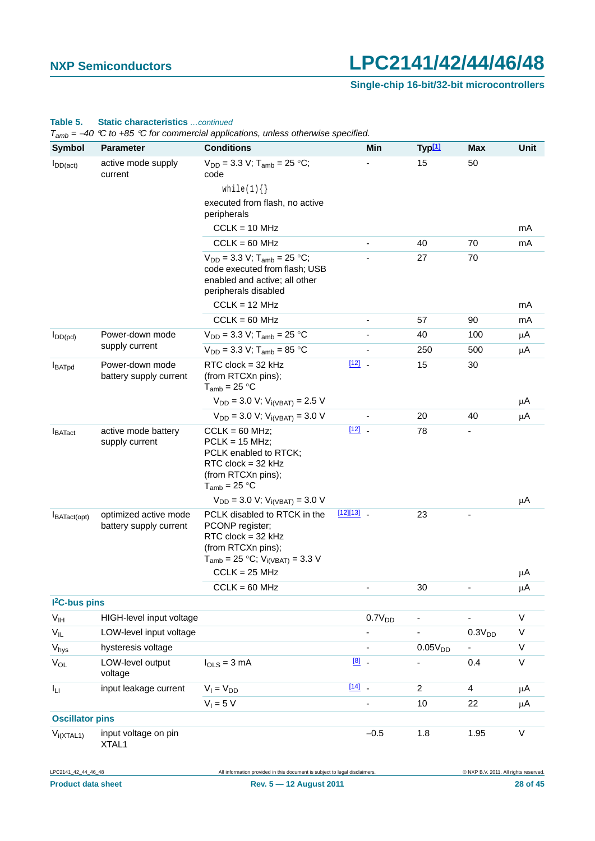#### **Single-chip 16-bit/32-bit microcontrollers**

#### LPC2141\_42\_44\_46\_48 All information provided in this document is subject to legal disclaimers. © NXP B.V. 2011. All rights reserved. I<sub>DD(act)</sub> active mode supply current  $V_{DD} = 3.3$  V; T<sub>amb</sub> = 25 °C; code while $(1){}$ executed from flash, no active peripherals  $CCLK = 10 MHz$ - 15 50 mA  $CCLK = 60 MHz$  - 40 70 mA  $V_{DD} = 3.3$  V;  $T_{amb} = 25$  °C; code executed from flash; USB enabled and active; all other peripherals disabled  $CCLK = 12 MHz$ - 27 70 mA CCLK = 60 MHz - 57 90 mA I<sub>DD(pd)</sub> Power-down mode supply current  $V_{DD} = 3.3 \text{ V}; T_{amb} = 25 \text{ °C}$  - 40 100  $\mu \text{A}$  $V_{DD} = 3.3 \text{ V}; T_{amb} = 85 \text{ °C}$  - 250 500  $\mu \text{A}$ IBATpd Power-down mode battery supply current RTC clock = 32 kHz (from RTCXn pins);  $T_{amb}$  = 25 °C  $V_{DD} = 3.0$  V;  $V_{i(VBAT)} = 2.5$  V  $[12]$  - 15 30 A  $V_{DD} = 3.0 \text{ V}; V_{i(VBAT)} = 3.0 \text{ V}$  - 20 40  $\mu \text{A}$ I<sub>BATact</sub> active mode battery supply current  $CCLK = 60$  MHz;  $PCLK = 15 MHz;$ PCLK enabled to RTCK; RTC clock = 32 kHz (from RTCXn pins);  $T_{amb}$  = 25 °C  $V_{DD} = 3.0$  V;  $V_{i(VBAT)} = 3.0$  V  $\frac{12}{2}$  - 78 - $\mu$ A IBATact(opt) optimized active mode battery supply current PCLK disabled to RTCK in the PCONP register; RTC clock = 32 kHz (from RTCXn pins);  $T_{amb} = 25 °C$ ;  $V_{i(VBAT)} = 3.3 V$  $CCLK = 25 MHz$  $[12][13]$  $[12][13]$  23 μA  $CCLK = 60 MHz$  - 30 -  $\mu A$ **I 2C-bus pins**  $V_{IH}$  HIGH-level input voltage  $V_{IH}$  0.7V<sub>DD</sub> - - V  $V_{IL}$  LOW-level input voltage  $V_{IL}$  and  $V_{D}$  and  $V_{D}$  and  $V_{D}$  and  $V_{D}$  and  $V_{D}$  and  $V_{D}$  and  $V_{D}$  and  $V_{D}$  and  $V_{D}$  and  $V_{D}$  and  $V_{D}$  and  $V_{D}$  and  $V_{D}$  and  $V_{D}$  and  $V_{D}$  and  $V_{D}$  and  $V_{$  $V_{\text{hys}}$  hysteresis voltage  $V_{\text{hys}}$  - 0.05 $V_{\text{DD}}$  - V V<sub>OL</sub> LOW-level output voltage  $I_{\text{OLS}} = 3 \text{ mA}$  0.4 V  $I_{L1}$  input leakage current  $V_1 = V_{DD}$  [\[14\]](#page-28-13) - 24 A  $V_1 = 5 V$  - 10 22  $\mu A$ **Oscillator pins**  $V_{i(XTAL1)}$  input voltage on pin XTAL1  $-0.5$  1.8 1.95 V **Symbol Parameter Conditions Min Typ[1] Max Unit**

#### **Table 5. Static characteristics** *…continued*

*Tamb = 40 C to +85 C for commercial applications, unless otherwise specified.*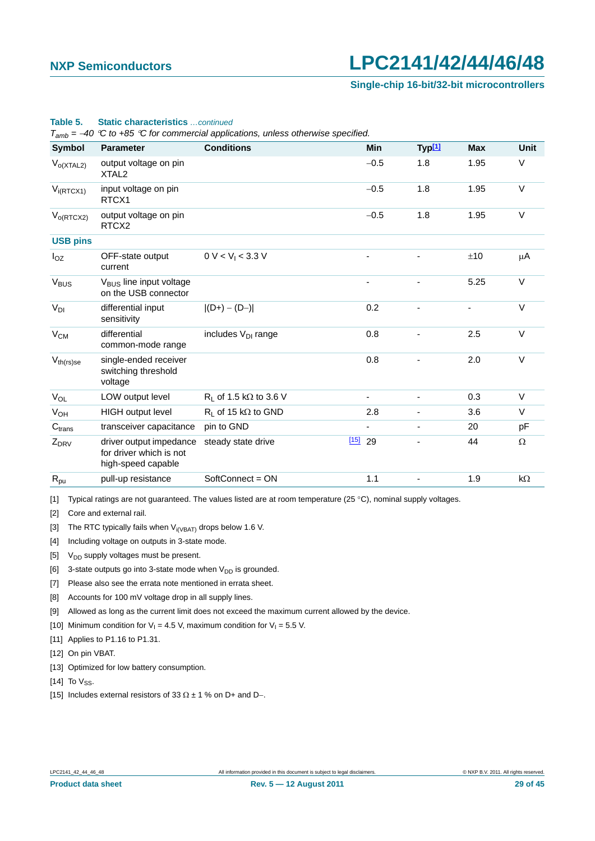**Single-chip 16-bit/32-bit microcontrollers**

|                    | $T_{amb} = -40$ °C to +85 °C for commercial applications, unless otherwise specified. |                                  |                          |                    |            |             |  |  |  |
|--------------------|---------------------------------------------------------------------------------------|----------------------------------|--------------------------|--------------------|------------|-------------|--|--|--|
| <b>Symbol</b>      | <b>Parameter</b>                                                                      | <b>Conditions</b>                | <b>Min</b>               | Typ <sup>[1]</sup> | <b>Max</b> | <b>Unit</b> |  |  |  |
| $V_{O(XTAL2)}$     | output voltage on pin<br>XTAL <sub>2</sub>                                            |                                  | $-0.5$                   | 1.8                | 1.95       | V           |  |  |  |
| $V_{i(RTCX1)}$     | input voltage on pin<br>RTCX1                                                         |                                  | $-0.5$                   | 1.8                | 1.95       | V           |  |  |  |
| $V_{O(RTCX2)}$     | output voltage on pin<br>RTCX <sub>2</sub>                                            |                                  | $-0.5$                   | 1.8                | 1.95       | V           |  |  |  |
| <b>USB pins</b>    |                                                                                       |                                  |                          |                    |            |             |  |  |  |
| $I_{OZ}$           | OFF-state output<br>current                                                           | 0 V < V <sub>1</sub> < 3.3 V     |                          |                    | ±10        | μA          |  |  |  |
| V <sub>BUS</sub>   | V <sub>BUS</sub> line input voltage<br>on the USB connector                           |                                  |                          |                    | 5.25       | V           |  |  |  |
| $V_{DI}$           | differential input<br>sensitivity                                                     | $ (D+) - (D-) $                  | 0.2                      |                    | -          | $\vee$      |  |  |  |
| $V_{CM}$           | differential<br>common-mode range                                                     | includes V <sub>DI</sub> range   | 0.8                      |                    | 2.5        | V           |  |  |  |
| $V_{th(rs)se}$     | single-ended receiver<br>switching threshold<br>voltage                               |                                  | 0.8                      |                    | 2.0        | V           |  |  |  |
| $V_{OL}$           | LOW output level                                                                      | $R_1$ of 1.5 k $\Omega$ to 3.6 V | $\overline{\phantom{a}}$ |                    | 0.3        | V           |  |  |  |
| $V_{OH}$           | <b>HIGH</b> output level                                                              | $R_1$ of 15 kΩ to GND            | 2.8                      |                    | 3.6        | V           |  |  |  |
| C <sub>trans</sub> | transceiver capacitance                                                               | pin to GND                       |                          |                    | 20         | pF          |  |  |  |
| $Z_{DRV}$          | driver output impedance<br>for driver which is not<br>high-speed capable              | steady state drive               | $[15]$ 29                |                    | 44         | $\Omega$    |  |  |  |
| $R_{pu}$           | pull-up resistance                                                                    | SoftConnect = ON                 | 1.1                      |                    | 1.9        | $k\Omega$   |  |  |  |

#### **Table 5. Static characteristics** *…continued*

<span id="page-28-0"></span>[1] Typical ratings are not guaranteed. The values listed are at room temperature (25 °C), nominal supply voltages.

<span id="page-28-1"></span>[2] Core and external rail.

<span id="page-28-2"></span>[3] The RTC typically fails when  $V_{i(VBAT)}$  drops below 1.6 V.

<span id="page-28-3"></span>[4] Including voltage on outputs in 3-state mode.

<span id="page-28-4"></span>[5]  $V_{DD}$  supply voltages must be present.

<span id="page-28-5"></span>[6] 3-state outputs go into 3-state mode when  $V_{DD}$  is grounded.

<span id="page-28-6"></span>[7] Please also see the errata note mentioned in errata sheet.

<span id="page-28-7"></span>[8] Accounts for 100 mV voltage drop in all supply lines.

<span id="page-28-8"></span>[9] Allowed as long as the current limit does not exceed the maximum current allowed by the device.

<span id="page-28-9"></span>[10] Minimum condition for  $V_1 = 4.5$  V, maximum condition for  $V_1 = 5.5$  V.

<span id="page-28-10"></span>[11] Applies to P1.16 to P1.31.

<span id="page-28-11"></span>[12] On pin VBAT.

<span id="page-28-12"></span>[13] Optimized for low battery consumption.

<span id="page-28-13"></span>[14] To  $V_{SS}$ .

<span id="page-28-14"></span>[15] Includes external resistors of 33  $\Omega \pm 1$  % on D+ and D-.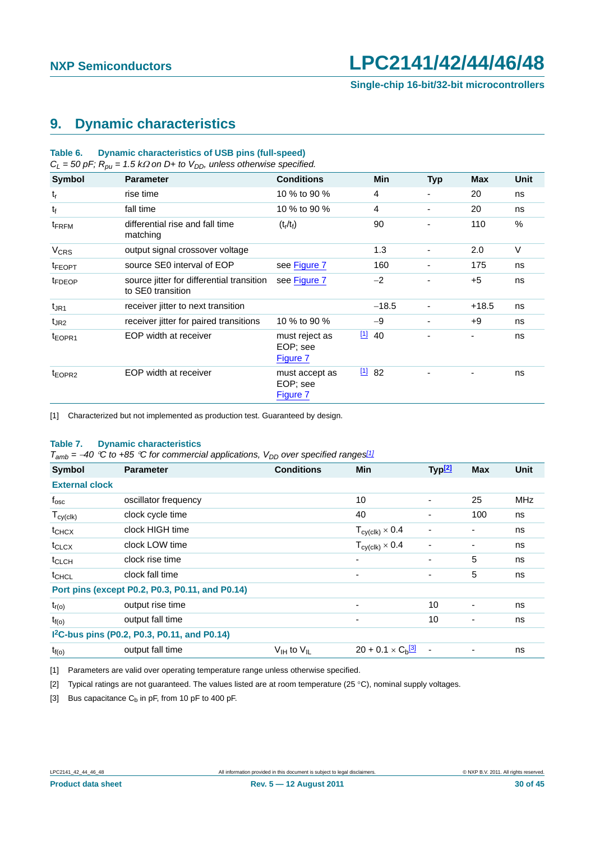### <span id="page-29-4"></span>**9. Dynamic characteristics**

#### **Table 6. Dynamic characteristics of USB pins (full-speed)**

 $C_l = 50$  pF;  $R_{0l} = 1.5$  k $\Omega$  on D+ to V<sub>DD</sub>, unless otherwise specified.

| $\sim$ $\sim$ $\sim$ $\sim$ $\sim$ $\sim$ |                                                                |                                        |            |            |            |        |
|-------------------------------------------|----------------------------------------------------------------|----------------------------------------|------------|------------|------------|--------|
| <b>Symbol</b>                             | <b>Parameter</b>                                               | <b>Conditions</b>                      | <b>Min</b> | <b>Typ</b> | <b>Max</b> | Unit   |
| $t_{r}$                                   | rise time                                                      | 10 % to 90 %                           | 4          | ٠          | 20         | ns     |
| $t_{\rm f}$                               | fall time                                                      | 10 % to 90 %                           | 4          | ٠          | 20         | ns     |
| t <sub>FRFM</sub>                         | differential rise and fall time<br>matching                    | $(t_r/t_f)$                            | 90         |            | 110        | %      |
| <b>V<sub>CRS</sub></b>                    | output signal crossover voltage                                |                                        | 1.3        | ٠          | 2.0        | $\vee$ |
| <sup>t</sup> FEOPT                        | source SE0 interval of EOP                                     | see Figure 7                           | 160        | -          | 175        | ns     |
| <sup>t</sup> FDEOP                        | source jitter for differential transition<br>to SE0 transition | see Figure 7                           | $-2$       |            | $+5$       | ns     |
| $t_{\rm JR1}$                             | receiver jitter to next transition                             |                                        | $-18.5$    |            | $+18.5$    | ns     |
| t <sub>JR2</sub>                          | receiver jitter for paired transitions                         | 10 % to 90 %                           | $-9$       | ٠          | $+9$       | ns     |
| t <sub>EOPR1</sub>                        | EOP width at receiver                                          | must reject as<br>EOP; see<br>Figure 7 | 1140       |            | Ξ.         | ns     |
| t <sub>EOPR2</sub>                        | EOP width at receiver                                          | must accept as<br>EOP; see<br>Figure 7 | 1182       |            |            | ns     |

<span id="page-29-0"></span>[1] Characterized but not implemented as production test. Guaranteed by design.

#### **Table 7. Dynamic characteristics**

 $T_{amb}$  = -40 °C to +85 °C for commercial applications,  $V_{DD}$  over specified ranges<sup>[\[1\]](#page-29-1)</sup>

| <b>Symbol</b>         | <b>Parameter</b>                                         | <b>Conditions</b>                  | <b>Min</b>                             | Typ <sup>[2]</sup>       | <b>Max</b>     | <b>Unit</b> |
|-----------------------|----------------------------------------------------------|------------------------------------|----------------------------------------|--------------------------|----------------|-------------|
| <b>External clock</b> |                                                          |                                    |                                        |                          |                |             |
| $f_{\rm osc}$         | oscillator frequency                                     |                                    | 10                                     | ٠                        | 25             | MHz         |
| $T_{cy(clk)}$         | clock cycle time                                         |                                    | 40                                     | ٠                        | 100            | ns          |
| t <sub>CHCX</sub>     | clock HIGH time                                          |                                    | $T_{\text{cy}(\text{clk})} \times 0.4$ | ٠                        |                | ns          |
| t <sub>CLCX</sub>     | clock LOW time                                           |                                    | $T_{cy(clk)} \times 0.4$               |                          | ۰              | ns          |
| t <sub>CLCH</sub>     | clock rise time                                          |                                    | $\overline{\phantom{a}}$               | ٠                        | 5              | ns          |
| t <sub>CHCL</sub>     | clock fall time                                          |                                    | $\overline{\phantom{a}}$               | ٠                        | 5              | ns          |
|                       | Port pins (except P0.2, P0.3, P0.11, and P0.14)          |                                    |                                        |                          |                |             |
| $t_{r(o)}$            | output rise time                                         |                                    | ٠                                      | 10                       | $\overline{a}$ | ns          |
| $t_{f(o)}$            | output fall time                                         |                                    | $\overline{\phantom{a}}$               | 10                       |                | ns          |
|                       | I <sup>2</sup> C-bus pins (P0.2, P0.3, P0.11, and P0.14) |                                    |                                        |                          |                |             |
| $t_{f(o)}$            | output fall time                                         | $V_{\text{IH}}$ to $V_{\text{II}}$ | $20 + 0.1 \times C_h$ <sup>3</sup>     | $\overline{\phantom{a}}$ |                | ns          |

<span id="page-29-1"></span>[1] Parameters are valid over operating temperature range unless otherwise specified.

<span id="page-29-2"></span>[2] Typical ratings are not guaranteed. The values listed are at room temperature (25 °C), nominal supply voltages.

<span id="page-29-3"></span>[3] Bus capacitance  $C_b$  in pF, from 10 pF to 400 pF.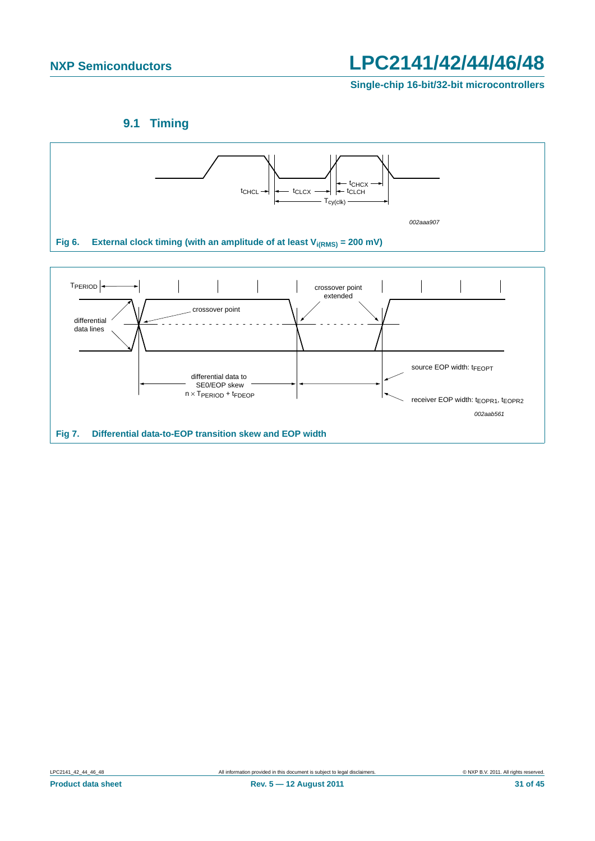**Single-chip 16-bit/32-bit microcontrollers**



<span id="page-30-1"></span><span id="page-30-0"></span>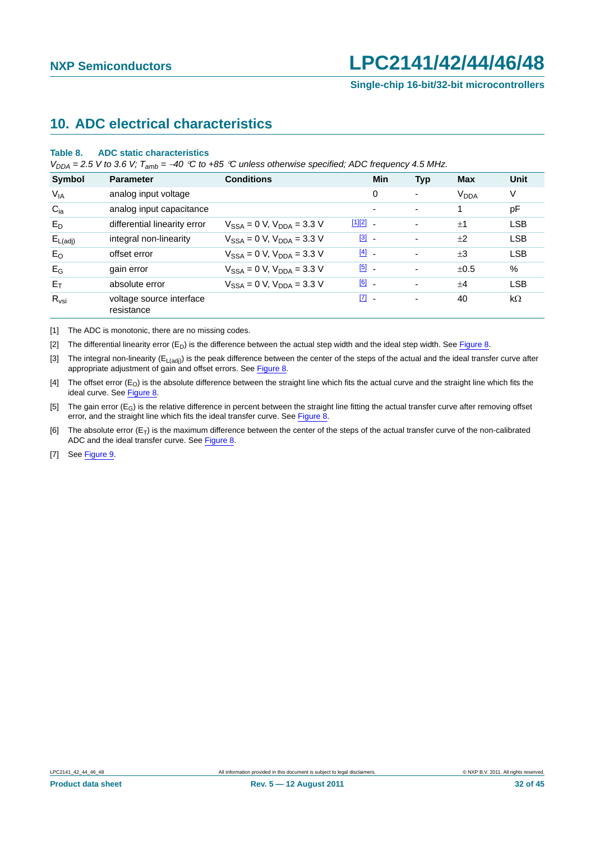## <span id="page-31-7"></span>**10. ADC electrical characteristics**

#### **Table 8. ADC static characteristics**

*V<sub>DDA</sub>* = 2.5 *V* to 3.6 *V;*  $T_{amb}$  = -40 °C to +85 °C unless otherwise specified; ADC frequency 4.5 MHz.

| <b>Symbol</b>       | <b>Parameter</b>                       | <b>Conditions</b>                   | Min                               | <b>Typ</b>               | Max                    | Unit       |
|---------------------|----------------------------------------|-------------------------------------|-----------------------------------|--------------------------|------------------------|------------|
| $V_{IA}$            | analog input voltage                   |                                     | 0                                 | $\overline{\phantom{a}}$ | <b>V<sub>DDA</sub></b> | V          |
| $C_{ia}$            | analog input capacitance               |                                     | ۰                                 | ٠                        |                        | pF         |
| $E_D$               | differential linearity error           | $V_{SSA} = 0 V$ , $V_{DDA} = 3.3 V$ | $[1][2]$ _                        | $\blacksquare$           | $+1$                   | <b>LSB</b> |
| $E_{L(\text{adj})}$ | integral non-linearity                 | $V_{SSA} = 0$ V, $V_{DDA} = 3.3$ V  | $\begin{bmatrix} 3 \end{bmatrix}$ | ٠                        | ±2                     | <b>LSB</b> |
| $E_{O}$             | offset error                           | $V_{SSA} = 0$ V, $V_{DDA} = 3.3$ V  | $\boxed{4}$ -                     | $\overline{\phantom{a}}$ | $\pm 3$                | <b>LSB</b> |
| $E_G$               | gain error                             | $V_{SSA} = 0 V$ , $V_{DDA} = 3.3 V$ | $[5]$ .                           | $\overline{\phantom{0}}$ | ±0.5                   | %          |
| $E_T$               | absolute error                         | $V_{SSA} = 0 V$ , $V_{DDA} = 3.3 V$ | $[6]$ $-$                         | $\overline{\phantom{a}}$ | $+4$                   | <b>LSB</b> |
| $R_{\text{Vsi}}$    | voltage source interface<br>resistance |                                     | $\begin{bmatrix} 7 \end{bmatrix}$ | $\blacksquare$           | 40                     | $k\Omega$  |

<span id="page-31-0"></span>[1] The ADC is monotonic, there are no missing codes.

<span id="page-31-1"></span>[2] The differential linearity error  $(E_D)$  is the difference between the actual step width and the ideal step width. See [Figure 8](#page-32-0).

<span id="page-31-2"></span>[3] The integral non-linearity ( $E_{L(adj)}$ ) is the peak difference between the center of the steps of the actual and the ideal transfer curve after appropriate adjustment of gain and offset errors. See [Figure 8.](#page-32-0)

<span id="page-31-3"></span>[4] The offset error  $(E_0)$  is the absolute difference between the straight line which fits the actual curve and the straight line which fits the ideal curve. See [Figure 8.](#page-32-0)

<span id="page-31-4"></span>[5] The gain error  $(E_G)$  is the relative difference in percent between the straight line fitting the actual transfer curve after removing offset error, and the straight line which fits the ideal transfer curve. See [Figure 8.](#page-32-0)

<span id="page-31-5"></span>[6] The absolute error  $(E_T)$  is the maximum difference between the center of the steps of the actual transfer curve of the non-calibrated ADC and the ideal transfer curve. See [Figure 8](#page-32-0).

<span id="page-31-6"></span>[7] See [Figure 9.](#page-33-0)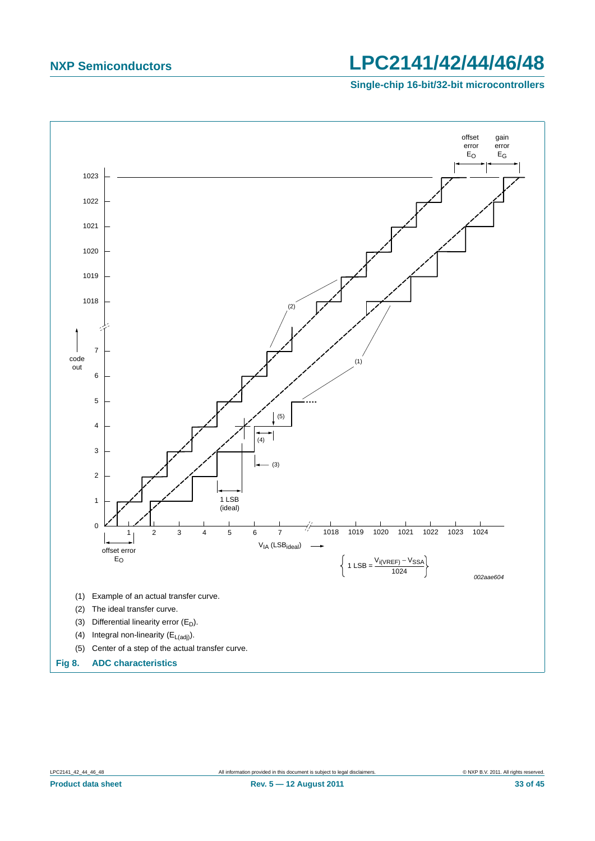**Single-chip 16-bit/32-bit microcontrollers**

<span id="page-32-0"></span>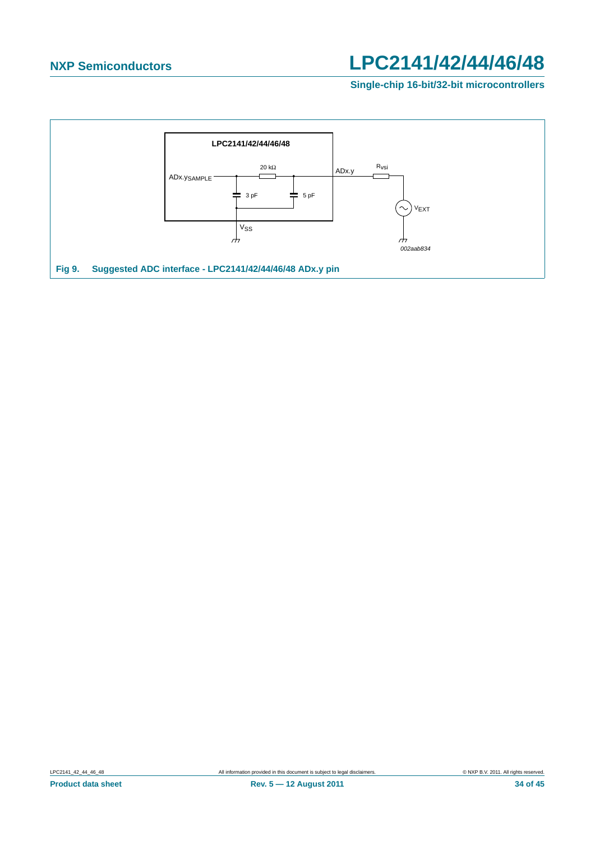**Single-chip 16-bit/32-bit microcontrollers**

<span id="page-33-0"></span>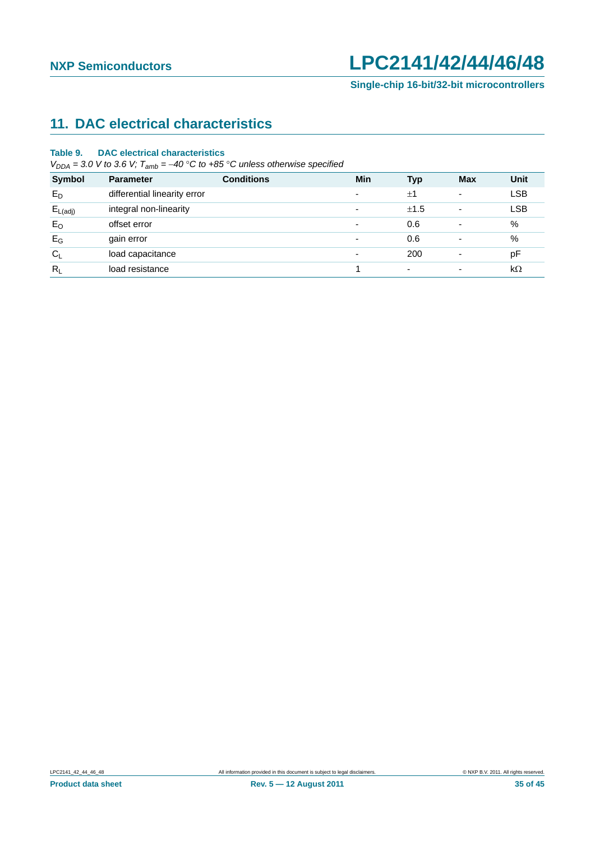## <span id="page-34-0"></span>**11. DAC electrical characteristics**

#### **Table 9. DAC electrical characteristics**

 $V_{DDA} = 3.0$  *V* to 3.6 *V*;  $T_{amb} = -40$  °C to +85 °C unless otherwise specified

| <b>Symbol</b>       | <b>Parameter</b>             | <b>Conditions</b> | Min                      | <b>Typ</b>               | <b>Max</b>               | Unit       |
|---------------------|------------------------------|-------------------|--------------------------|--------------------------|--------------------------|------------|
| $E_D$               | differential linearity error |                   | $\overline{\phantom{a}}$ | ±1                       | ۰                        | <b>LSB</b> |
| $E_{L(\text{adj})}$ | integral non-linearity       |                   | $\overline{\phantom{a}}$ | ±1.5                     | ۰                        | <b>LSB</b> |
| $E_{O}$             | offset error                 |                   | $\overline{\phantom{a}}$ | 0.6                      | -                        | %          |
| $E_G$               | gain error                   |                   | ٠                        | 0.6                      |                          | %          |
| $C_L$               | load capacitance             |                   | $\overline{\phantom{0}}$ | 200                      | $\overline{\phantom{0}}$ | pF         |
| $R_L$               | load resistance              |                   |                          | $\overline{\phantom{0}}$ |                          | $k\Omega$  |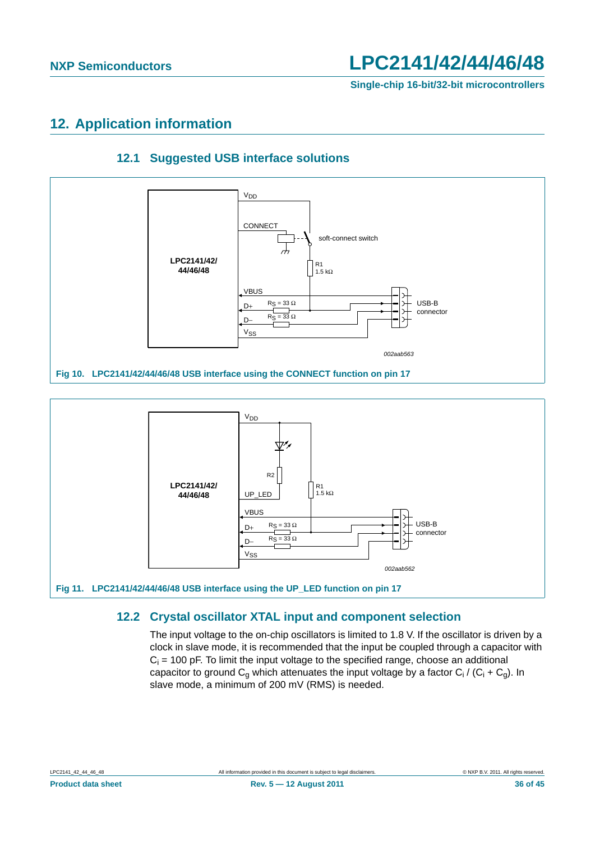**Single-chip 16-bit/32-bit microcontrollers**

## <span id="page-35-1"></span>**12. Application information**

<span id="page-35-2"></span>

### **12.1 Suggested USB interface solutions**



### <span id="page-35-0"></span>**12.2 Crystal oscillator XTAL input and component selection**

The input voltage to the on-chip oscillators is limited to 1.8 V. If the oscillator is driven by a clock in slave mode, it is recommended that the input be coupled through a capacitor with  $C_i$  = 100 pF. To limit the input voltage to the specified range, choose an additional capacitor to ground C<sub>g</sub> which attenuates the input voltage by a factor C<sub>i</sub> / (C<sub>i</sub> + C<sub>g</sub>). In slave mode, a minimum of 200 mV (RMS) is needed.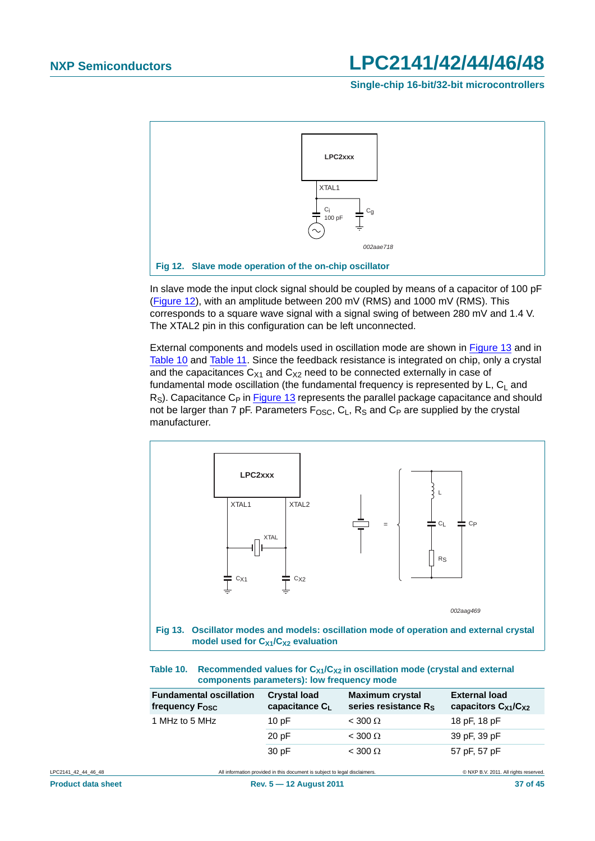**Single-chip 16-bit/32-bit microcontrollers**



<span id="page-36-0"></span>In slave mode the input clock signal should be coupled by means of a capacitor of 100 pF [\(Figure 12\)](#page-36-0), with an amplitude between 200 mV (RMS) and 1000 mV (RMS). This corresponds to a square wave signal with a signal swing of between 280 mV and 1.4 V. The XTAL2 pin in this configuration can be left unconnected.

External components and models used in oscillation mode are shown in [Figure 13](#page-36-1) and in [Table 10](#page-36-2) and [Table 11](#page-37-0). Since the feedback resistance is integrated on chip, only a crystal and the capacitances  $C_{X1}$  and  $C_{X2}$  need to be connected externally in case of fundamental mode oscillation (the fundamental frequency is represented by  $L$ ,  $C_L$  and  $R<sub>S</sub>$ ). Capacitance C<sub>P</sub> in [Figure 13](#page-36-1) represents the parallel package capacitance and should not be larger than 7 pF. Parameters  $F_{OSC}$ ,  $C_1$ ,  $R_S$  and  $C_P$  are supplied by the crystal manufacturer.



<span id="page-36-2"></span><span id="page-36-1"></span>

| Table 10. Recommended values for $C_{X1}/C_{X2}$ in oscillation mode (crystal and external |
|--------------------------------------------------------------------------------------------|
| components parameters): low frequency mode                                                 |

| <b>Fundamental oscillation</b><br>frequency $F_{\text{OSC}}$ | <b>Crystal load</b><br>capacitance C <sub>1</sub> | <b>Maximum crystal</b><br>series resistance $R_S$ | <b>External load</b><br>capacitors $C_{X1}/C_{X2}$ |
|--------------------------------------------------------------|---------------------------------------------------|---------------------------------------------------|----------------------------------------------------|
| 1 MHz to 5 MHz                                               | 10pF                                              | $<$ 300 $\Omega$                                  | 18 pF, 18 pF                                       |
|                                                              | 20pF                                              | $<$ 300 $\Omega$                                  | 39 pF, 39 pF                                       |
|                                                              | 30pF                                              | $<$ 300 $\Omega$                                  | 57 pF, 57 pF                                       |

LPC2141\_42\_44\_46\_48 All information provided in this document is subject to legal disclaimers. 
All information provided in this document is subject to legal disclaimers.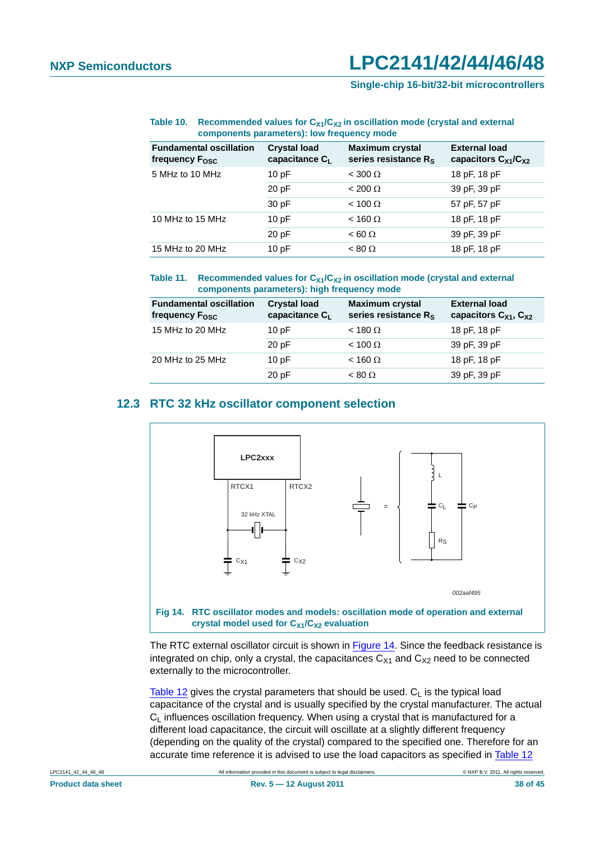#### Table 10. Recommended values for C<sub>X1</sub>/C<sub>X2</sub> in oscillation mode (crystal and external **components parameters): low frequency mode**

| <b>Fundamental oscillation</b><br>frequency F <sub>osc</sub> | <b>Crystal load</b><br>capacitance C <sub>1</sub> | <b>Maximum crystal</b><br>series resistance $R_s$ | <b>External load</b><br>capacitors $C_{X1}/C_{X2}$ |
|--------------------------------------------------------------|---------------------------------------------------|---------------------------------------------------|----------------------------------------------------|
| 5 MHz to 10 MHz                                              | 10pF                                              | $<$ 300 $\Omega$                                  | 18 pF, 18 pF                                       |
|                                                              | 20 pF                                             | $< 200 \Omega$                                    | 39 pF, 39 pF                                       |
|                                                              | 30 pF                                             | $< 100 \Omega$                                    | 57 pF, 57 pF                                       |
| 10 MHz to 15 MHz                                             | 10pF                                              | $<$ 160 $\Omega$                                  | 18 pF, 18 pF                                       |
|                                                              | 20 pF                                             | $< 60 \Omega$                                     | 39 pF, 39 pF                                       |
| 15 MHz to 20 MHz                                             | 10pF                                              | $< 80 \Omega$                                     | 18 pF, 18 pF                                       |

#### <span id="page-37-0"></span>Table 11. Recommended values for C<sub>X1</sub>/C<sub>X2</sub> in oscillation mode (crystal and external **components parameters): high frequency mode**

| <b>Fundamental oscillation</b><br>frequency $F_{\text{OSC}}$ | <b>Crystal load</b><br>capacitance $C_L$ | <b>Maximum crystal</b><br>series resistance R <sub>S</sub> | <b>External load</b><br>capacitors $C_{X1}$ , $C_{X2}$ |
|--------------------------------------------------------------|------------------------------------------|------------------------------------------------------------|--------------------------------------------------------|
| 15 MHz to 20 MHz                                             | 10pF                                     | $<$ 180 $\Omega$                                           | 18 pF, 18 pF                                           |
|                                                              | 20pF                                     | $< 100 \Omega$                                             | 39 pF, 39 pF                                           |
| 20 MHz to 25 MHz                                             | 10pF                                     | $<$ 160 $\Omega$                                           | 18 pF, 18 pF                                           |
|                                                              | 20pF                                     | $< 80 \Omega$                                              | 39 pF, 39 pF                                           |

### <span id="page-37-2"></span>**12.3 RTC 32 kHz oscillator component selection**



<span id="page-37-1"></span>The RTC external oscillator circuit is shown in [Figure 14](#page-37-1). Since the feedback resistance is integrated on chip, only a crystal, the capacitances  $C_{X1}$  and  $C_{X2}$  need to be connected externally to the microcontroller.

[Table 12](#page-38-0) gives the crystal parameters that should be used.  $C_L$  is the typical load capacitance of the crystal and is usually specified by the crystal manufacturer. The actual  $C_1$  influences oscillation frequency. When using a crystal that is manufactured for a different load capacitance, the circuit will oscillate at a slightly different frequency (depending on the quality of the crystal) compared to the specified one. Therefore for an accurate time reference it is advised to use the load capacitors as specified in [Table 12](#page-38-0)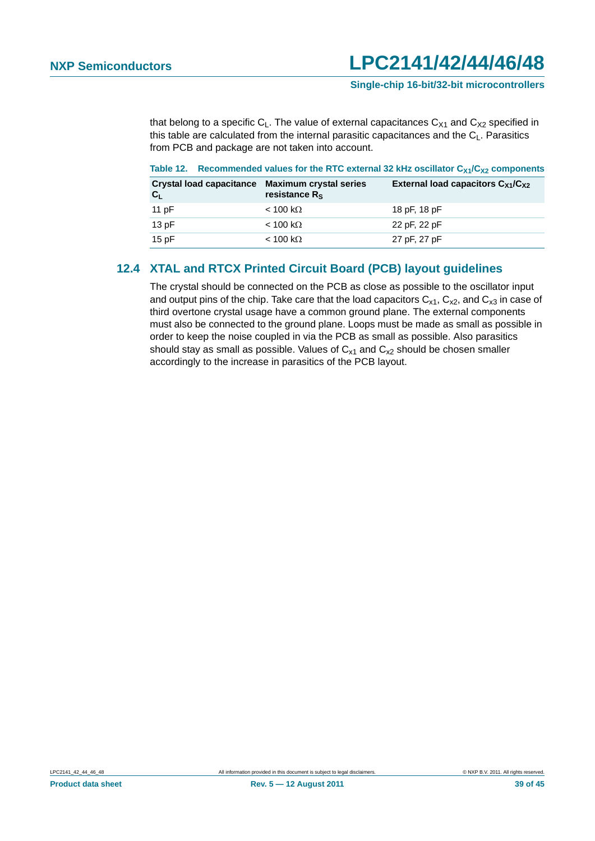**Single-chip 16-bit/32-bit microcontrollers**

that belong to a specific  $C_L$ . The value of external capacitances  $C_{X1}$  and  $C_{X2}$  specified in this table are calculated from the internal parasitic capacitances and the  $C_1$ . Parasitics from PCB and package are not taken into account.

#### <span id="page-38-0"></span>Table 12. Recommended values for the RTC external 32 kHz oscillator C<sub>X1</sub>/C<sub>X2</sub> components

| Crystal load capacitance Maximum crystal series<br>$C_{L}$ | resistance R <sub>S</sub> | External load capacitors $C_{X1}/C_{X2}$ |
|------------------------------------------------------------|---------------------------|------------------------------------------|
| 11 pF                                                      | $<$ 100 kΩ                | 18 pF, 18 pF                             |
| 13 $pF$                                                    | $< 100 \text{ k}\Omega$   | 22 pF, 22 pF                             |
| 15 $pF$                                                    | $< 100 \text{ k}\Omega$   | 27 pF, 27 pF                             |

### <span id="page-38-1"></span>**12.4 XTAL and RTCX Printed Circuit Board (PCB) layout guidelines**

The crystal should be connected on the PCB as close as possible to the oscillator input and output pins of the chip. Take care that the load capacitors  $C_{x1}$ ,  $C_{x2}$ , and  $C_{x3}$  in case of third overtone crystal usage have a common ground plane. The external components must also be connected to the ground plane. Loops must be made as small as possible in order to keep the noise coupled in via the PCB as small as possible. Also parasitics should stay as small as possible. Values of  $C_{x1}$  and  $C_{x2}$  should be chosen smaller accordingly to the increase in parasitics of the PCB layout.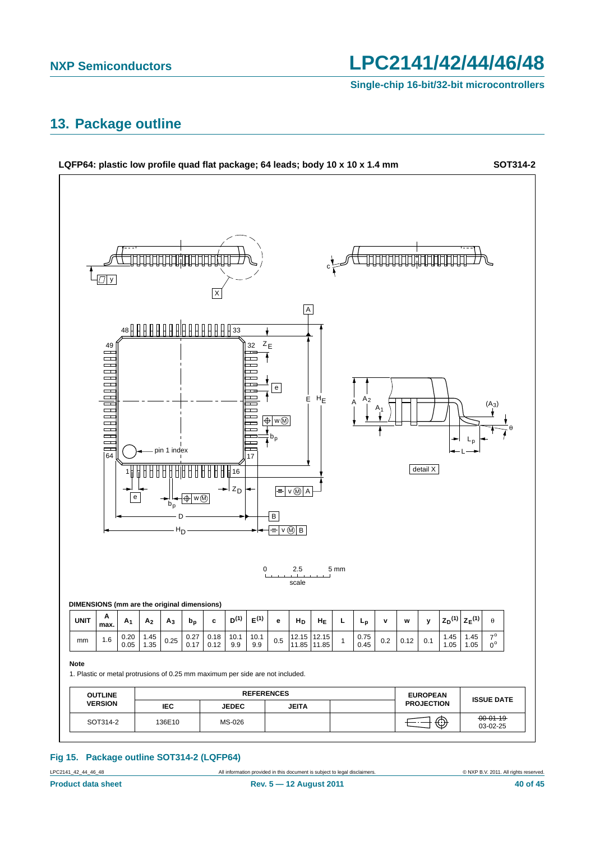**Single-chip 16-bit/32-bit microcontrollers**

### <span id="page-39-0"></span>**13. Package outline**



#### **Fig 15. Package outline SOT314-2 (LQFP64)**

LPC2141\_42\_44\_46\_48 All information provided in this document is subject to legal disclaimers. © NXP B.V. 2011. All rights reserved.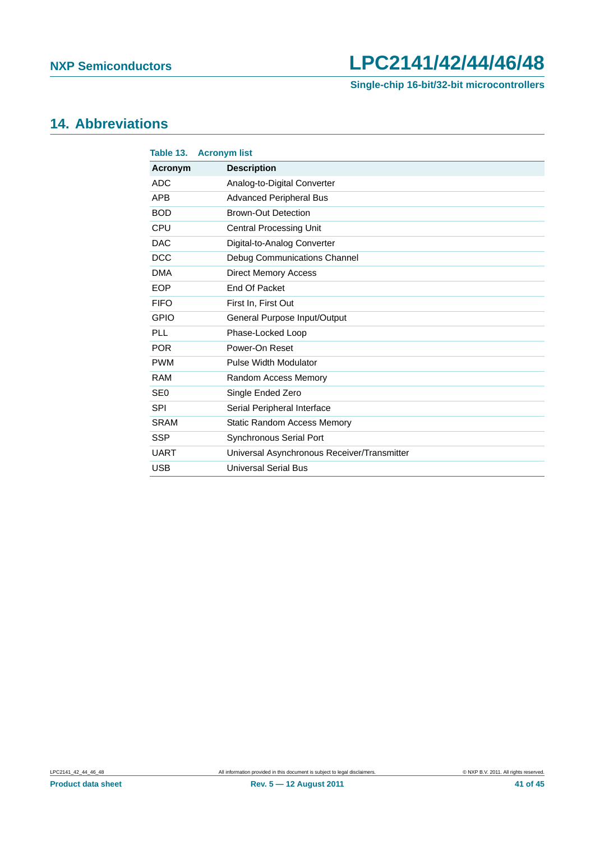**Single-chip 16-bit/32-bit microcontrollers**

## <span id="page-40-0"></span>**14. Abbreviations**

| Table 13.       | <b>Acronym list</b>                         |
|-----------------|---------------------------------------------|
| Acronym         | <b>Description</b>                          |
| <b>ADC</b>      | Analog-to-Digital Converter                 |
| <b>APB</b>      | <b>Advanced Peripheral Bus</b>              |
| <b>BOD</b>      | <b>Brown-Out Detection</b>                  |
| CPU             | <b>Central Processing Unit</b>              |
| <b>DAC</b>      | Digital-to-Analog Converter                 |
| <b>DCC</b>      | Debug Communications Channel                |
| <b>DMA</b>      | <b>Direct Memory Access</b>                 |
| <b>EOP</b>      | End Of Packet                               |
| <b>FIFO</b>     | First In, First Out                         |
| <b>GPIO</b>     | General Purpose Input/Output                |
| PLL             | Phase-Locked Loop                           |
| <b>POR</b>      | Power-On Reset                              |
| <b>PWM</b>      | <b>Pulse Width Modulator</b>                |
| <b>RAM</b>      | Random Access Memory                        |
| SE <sub>0</sub> | Single Ended Zero                           |
| <b>SPI</b>      | Serial Peripheral Interface                 |
| <b>SRAM</b>     | <b>Static Random Access Memory</b>          |
| <b>SSP</b>      | <b>Synchronous Serial Port</b>              |
| <b>UART</b>     | Universal Asynchronous Receiver/Transmitter |
| <b>USB</b>      | <b>Universal Serial Bus</b>                 |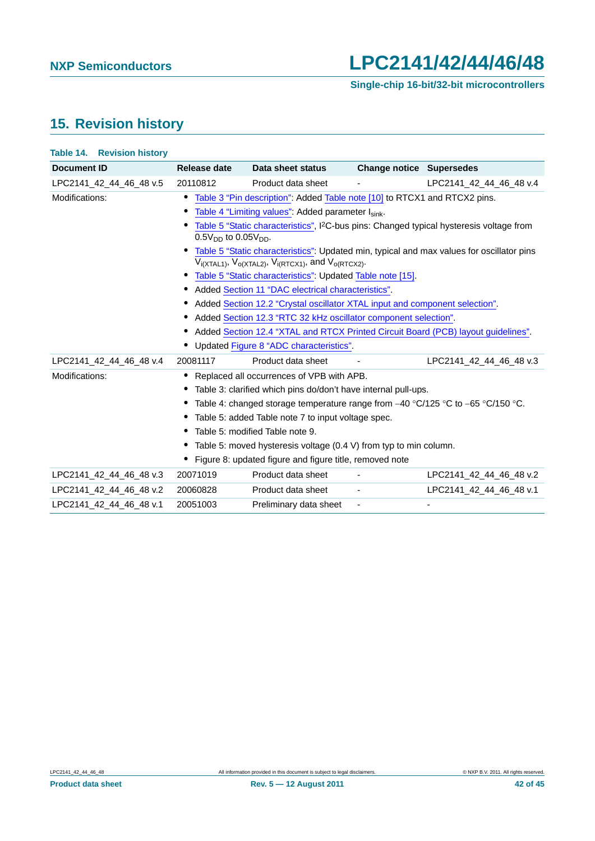## <span id="page-41-0"></span>**15. Revision history**

| Table 14. | <b>Revision history</b> |  |
|-----------|-------------------------|--|
|-----------|-------------------------|--|

| <b>Document ID</b>      | Release date                       | Data sheet status                                                                     | <b>Change notice Supersedes</b> |                                                                                                      |
|-------------------------|------------------------------------|---------------------------------------------------------------------------------------|---------------------------------|------------------------------------------------------------------------------------------------------|
| LPC2141_42_44_46_48 v.5 | 20110812                           | Product data sheet                                                                    |                                 | LPC2141 42 44 46 48 v.4                                                                              |
| Modifications:          |                                    | • Table 3 "Pin description": Added Table note [10] to RTCX1 and RTCX2 pins.           |                                 |                                                                                                      |
|                         | $\bullet$                          | Table 4 "Limiting values": Added parameter Isink.                                     |                                 |                                                                                                      |
|                         | ٠<br>$0.5V_{DD}$ to $0.05V_{DD}$ . |                                                                                       |                                 | Table 5 "Static characteristics", I <sup>2</sup> C-bus pins: Changed typical hysteresis voltage from |
|                         |                                    | $V_{i(XTAL1)}$ , $V_{o(XTAL2)}$ , $V_{i(RTCX1)}$ , and $V_{o(RTCX2)}$ .               |                                 | • Table 5 "Static characteristics": Updated min, typical and max values for oscillator pins          |
|                         |                                    | • Table 5 "Static characteristics": Updated Table note [15].                          |                                 |                                                                                                      |
|                         |                                    | • Added Section 11 "DAC electrical characteristics".                                  |                                 |                                                                                                      |
|                         |                                    | • Added Section 12.2 "Crystal oscillator XTAL input and component selection".         |                                 |                                                                                                      |
|                         |                                    | • Added Section 12.3 "RTC 32 kHz oscillator component selection".                     |                                 |                                                                                                      |
|                         |                                    |                                                                                       |                                 | • Added Section 12.4 "XTAL and RTCX Printed Circuit Board (PCB) layout guidelines".                  |
|                         |                                    | • Updated Figure 8 "ADC characteristics".                                             |                                 |                                                                                                      |
| LPC2141 42 44 46 48 v.4 | 20081117                           | Product data sheet                                                                    |                                 | LPC2141 42 44 46 48 v.3                                                                              |
| Modifications:          |                                    | Replaced all occurrences of VPB with APB.                                             |                                 |                                                                                                      |
|                         |                                    | • Table 3: clarified which pins do/don't have internal pull-ups.                      |                                 |                                                                                                      |
|                         |                                    | • Table 4: changed storage temperature range from $-40$ °C/125 °C to $-65$ °C/150 °C. |                                 |                                                                                                      |
|                         |                                    | • Table 5: added Table note 7 to input voltage spec.                                  |                                 |                                                                                                      |
|                         |                                    | • Table 5: modified Table note 9.                                                     |                                 |                                                                                                      |
|                         |                                    | • Table 5: moved hysteresis voltage (0.4 V) from typ to min column.                   |                                 |                                                                                                      |
|                         |                                    | • Figure 8: updated figure and figure title, removed note                             |                                 |                                                                                                      |
| LPC2141_42_44_46_48 v.3 | 20071019                           | Product data sheet                                                                    |                                 | LPC2141_42_44_46_48 v.2                                                                              |
| LPC2141 42 44 46 48 v.2 | 20060828                           | Product data sheet                                                                    | $\overline{\phantom{a}}$        | LPC2141 42 44 46 48 v.1                                                                              |
| LPC2141 42 44 46 48 v.1 | 20051003                           | Preliminary data sheet                                                                | $\overline{\phantom{a}}$        |                                                                                                      |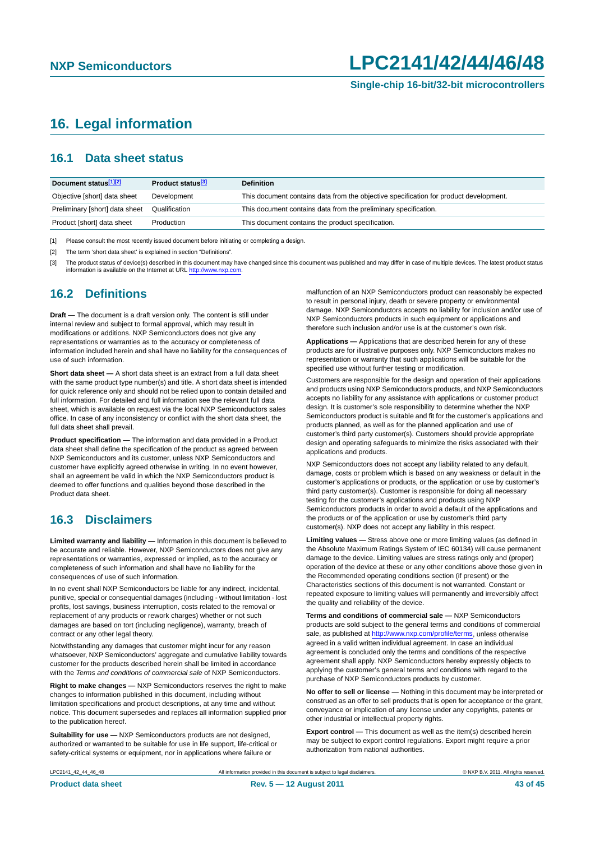### <span id="page-42-0"></span>**16. Legal information**

### <span id="page-42-1"></span>**16.1 Data sheet status**

| Document status[1][2]          | Product status <sup>[3]</sup> | <b>Definition</b>                                                                     |
|--------------------------------|-------------------------------|---------------------------------------------------------------------------------------|
| Objective [short] data sheet   | Development                   | This document contains data from the objective specification for product development. |
| Preliminary [short] data sheet | Qualification                 | This document contains data from the preliminary specification.                       |
| Product [short] data sheet     | Production                    | This document contains the product specification.                                     |

[1] Please consult the most recently issued document before initiating or completing a design.

[2] The term 'short data sheet' is explained in section "Definitions".

[3] The product status of device(s) described in this document may have changed since this document was published and may differ in case of multiple devices. The latest product status<br>information is available on the Intern

#### <span id="page-42-2"></span>**16.2 Definitions**

**Draft —** The document is a draft version only. The content is still under internal review and subject to formal approval, which may result in modifications or additions. NXP Semiconductors does not give any representations or warranties as to the accuracy or completeness of information included herein and shall have no liability for the consequences of use of such information.

**Short data sheet —** A short data sheet is an extract from a full data sheet with the same product type number(s) and title. A short data sheet is intended for quick reference only and should not be relied upon to contain detailed and full information. For detailed and full information see the relevant full data sheet, which is available on request via the local NXP Semiconductors sales office. In case of any inconsistency or conflict with the short data sheet, the full data sheet shall prevail.

**Product specification —** The information and data provided in a Product data sheet shall define the specification of the product as agreed between NXP Semiconductors and its customer, unless NXP Semiconductors and customer have explicitly agreed otherwise in writing. In no event however, shall an agreement be valid in which the NXP Semiconductors product is deemed to offer functions and qualities beyond those described in the Product data sheet.

#### <span id="page-42-3"></span>**16.3 Disclaimers**

**Limited warranty and liability —** Information in this document is believed to be accurate and reliable. However, NXP Semiconductors does not give any representations or warranties, expressed or implied, as to the accuracy or completeness of such information and shall have no liability for the consequences of use of such information.

In no event shall NXP Semiconductors be liable for any indirect, incidental, punitive, special or consequential damages (including - without limitation - lost profits, lost savings, business interruption, costs related to the removal or replacement of any products or rework charges) whether or not such damages are based on tort (including negligence), warranty, breach of contract or any other legal theory.

Notwithstanding any damages that customer might incur for any reason whatsoever, NXP Semiconductors' aggregate and cumulative liability towards customer for the products described herein shall be limited in accordance with the *Terms and conditions of commercial sale* of NXP Semiconductors.

**Right to make changes —** NXP Semiconductors reserves the right to make changes to information published in this document, including without limitation specifications and product descriptions, at any time and without notice. This document supersedes and replaces all information supplied prior to the publication hereof.

**Suitability for use —** NXP Semiconductors products are not designed, authorized or warranted to be suitable for use in life support, life-critical or safety-critical systems or equipment, nor in applications where failure or

malfunction of an NXP Semiconductors product can reasonably be expected to result in personal injury, death or severe property or environmental damage. NXP Semiconductors accepts no liability for inclusion and/or use of NXP Semiconductors products in such equipment or applications and therefore such inclusion and/or use is at the customer's own risk.

**Applications —** Applications that are described herein for any of these products are for illustrative purposes only. NXP Semiconductors makes no representation or warranty that such applications will be suitable for the specified use without further testing or modification.

Customers are responsible for the design and operation of their applications and products using NXP Semiconductors products, and NXP Semiconductors accepts no liability for any assistance with applications or customer product design. It is customer's sole responsibility to determine whether the NXP Semiconductors product is suitable and fit for the customer's applications and products planned, as well as for the planned application and use of customer's third party customer(s). Customers should provide appropriate design and operating safeguards to minimize the risks associated with their applications and products.

NXP Semiconductors does not accept any liability related to any default, damage, costs or problem which is based on any weakness or default in the customer's applications or products, or the application or use by customer's third party customer(s). Customer is responsible for doing all necessary testing for the customer's applications and products using NXP Semiconductors products in order to avoid a default of the applications and the products or of the application or use by customer's third party customer(s). NXP does not accept any liability in this respect.

**Limiting values —** Stress above one or more limiting values (as defined in the Absolute Maximum Ratings System of IEC 60134) will cause permanent damage to the device. Limiting values are stress ratings only and (proper) operation of the device at these or any other conditions above those given in the Recommended operating conditions section (if present) or the Characteristics sections of this document is not warranted. Constant or repeated exposure to limiting values will permanently and irreversibly affect the quality and reliability of the device.

**Terms and conditions of commercial sale —** NXP Semiconductors products are sold subject to the general terms and conditions of commercial sale, as published at<http://www.nxp.com/profile/terms>, unless otherwise agreed in a valid written individual agreement. In case an individual agreement is concluded only the terms and conditions of the respective agreement shall apply. NXP Semiconductors hereby expressly objects to applying the customer's general terms and conditions with regard to the purchase of NXP Semiconductors products by customer.

**No offer to sell or license —** Nothing in this document may be interpreted or construed as an offer to sell products that is open for acceptance or the grant, conveyance or implication of any license under any copyrights, patents or other industrial or intellectual property rights.

**Export control —** This document as well as the item(s) described herein may be subject to export control regulations. Export might require a prior authorization from national authorities.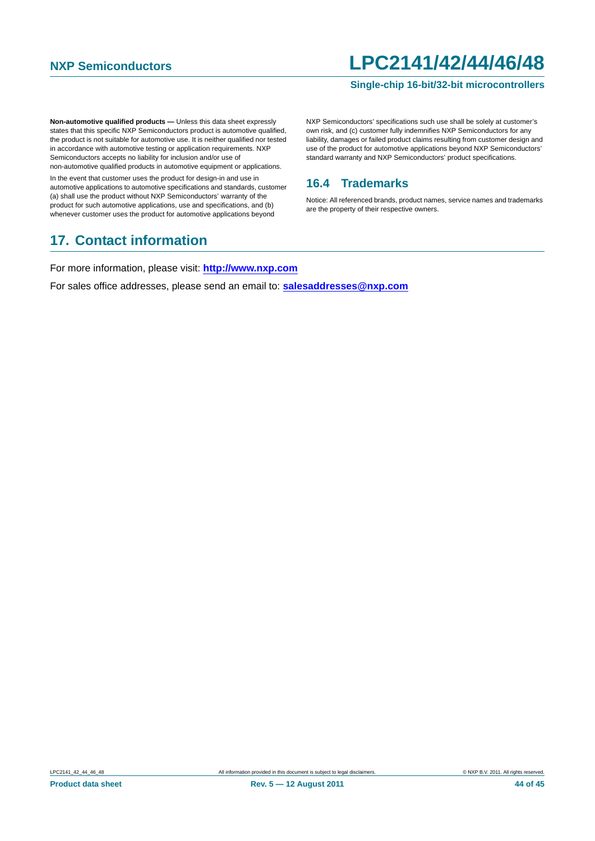#### **Single-chip 16-bit/32-bit microcontrollers**

**Non-automotive qualified products —** Unless this data sheet expressly states that this specific NXP Semiconductors product is automotive qualified, the product is not suitable for automotive use. It is neither qualified nor tested in accordance with automotive testing or application requirements. NXP Semiconductors accepts no liability for inclusion and/or use of non-automotive qualified products in automotive equipment or applications.

In the event that customer uses the product for design-in and use in automotive applications to automotive specifications and standards, customer (a) shall use the product without NXP Semiconductors' warranty of the product for such automotive applications, use and specifications, and (b) whenever customer uses the product for automotive applications beyond

### <span id="page-43-1"></span>**17. Contact information**

NXP Semiconductors' specifications such use shall be solely at customer's own risk, and (c) customer fully indemnifies NXP Semiconductors for any liability, damages or failed product claims resulting from customer design and use of the product for automotive applications beyond NXP Semiconductors' standard warranty and NXP Semiconductors' product specifications.

### <span id="page-43-0"></span>**16.4 Trademarks**

Notice: All referenced brands, product names, service names and trademarks are the property of their respective owners.

For more information, please visit: **http://www.nxp.com**

For sales office addresses, please send an email to: **salesaddresses@nxp.com**